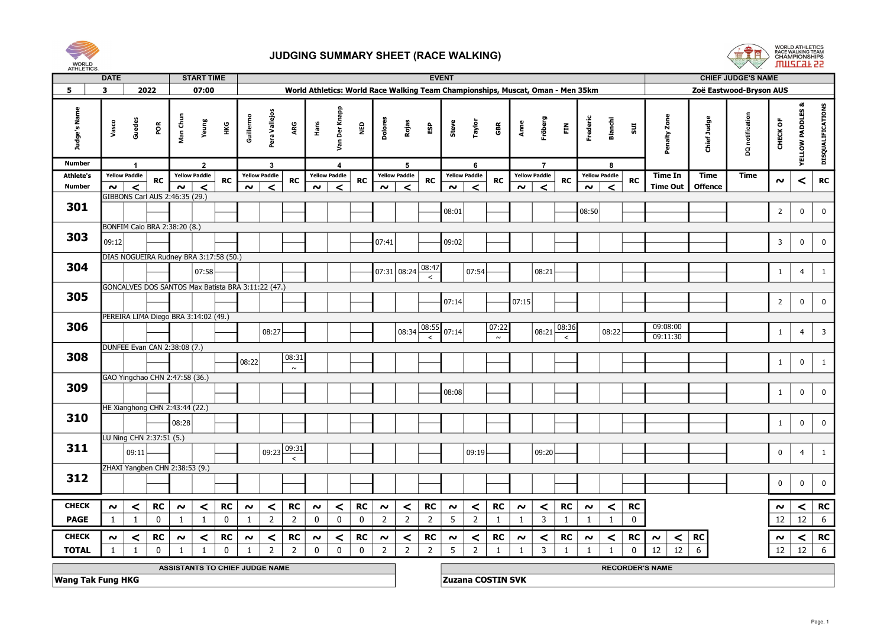



|                   | <b>DATE</b>         |                          |              |                                                    | <b>START TIME</b> |           |                       |                      |                                         |                     |                         |              |                     |                      |                 | <b>EVENT</b> |                      |                          |                |                      |                                                                                 |                |                      |             |                        |                | <b>CHIEF JUDGE'S NAME</b> |                         |                            |                         |
|-------------------|---------------------|--------------------------|--------------|----------------------------------------------------|-------------------|-----------|-----------------------|----------------------|-----------------------------------------|---------------------|-------------------------|--------------|---------------------|----------------------|-----------------|--------------|----------------------|--------------------------|----------------|----------------------|---------------------------------------------------------------------------------|----------------|----------------------|-------------|------------------------|----------------|---------------------------|-------------------------|----------------------------|-------------------------|
| 5                 | 3                   |                          | 2022         |                                                    | 07:00             |           |                       |                      |                                         |                     |                         |              |                     |                      |                 |              |                      |                          |                |                      | World Athletics: World Race Walking Team Championships, Muscat, Oman - Men 35km |                |                      |             |                        |                | Zoë Eastwood-Bryson AUS   |                         |                            |                         |
| Judge's Name      | Vasco               | Guedes                   | POR          | Man Ch                                             | Yeung             | ЖG        | Guillermo             | Pera Vallejos        | ARG                                     | Hans                | Der Knapp<br>S.         | ēυ           | Dolores             | Rojas                | စ္မ်ာ           | Steve        | Taylor               | GBR                      | Anne           | Fröberg              | $\tilde{E}$                                                                     | Frederic       | <b>Bianchi</b>       | 501         | Penalty Zone           | Chief Judge    | DQ notification           | CHECK OF                | ಹ<br><b>YELLOW PADDLES</b> | DISQUALIFICATIONS       |
| <b>Number</b>     |                     | $\overline{\mathbf{1}}$  |              |                                                    | $\overline{2}$    |           |                       | $\mathbf{3}$         |                                         |                     | $\overline{\mathbf{A}}$ |              |                     | 5                    |                 |              | 6                    |                          |                | $\overline{7}$       |                                                                                 |                | 8                    |             |                        |                |                           |                         |                            |                         |
| <b>Athlete's</b>  |                     | <b>Yellow Paddle</b>     | RC           | <b>Yellow Paddle</b>                               |                   | <b>RC</b> |                       | <b>Yellow Paddle</b> | <b>RC</b>                               |                     | <b>Yellow Paddle</b>    | <b>RC</b>    |                     | <b>Yellow Paddle</b> | <b>RC</b>       |              | <b>Yellow Paddle</b> | <b>RC</b>                |                | <b>Yellow Paddle</b> | <b>RC</b>                                                                       |                | <b>Yellow Paddle</b> | <b>RC</b>   | <b>Time In</b>         | Time           | Time                      | $\sim$                  | $\prec$                    | RC                      |
| <b>Number</b>     | $\sim$              | $\prec$                  |              | $\sim$<br>GIBBONS Carl AUS 2:46:35 (29.)           | $\epsilon$        |           | $\sim$ $\overline{ }$ | $\prec$              |                                         | $\sim$              | $\prec$                 |              | $\sim$              | $\prec$              |                 | $\sim$       | $\prec$              |                          | $\sim$         | $\prec$              |                                                                                 | $\sim$         | $\prec$              |             | <b>Time Out</b>        | <b>Offence</b> |                           |                         |                            |                         |
| 301               |                     |                          |              |                                                    |                   |           |                       |                      |                                         |                     |                         |              |                     |                      |                 | 08:01        |                      |                          |                |                      |                                                                                 | 08:50          |                      |             |                        |                |                           | $\overline{2}$          | $\pmb{0}$                  | $\mathbf 0$             |
|                   |                     |                          |              | BONFIM Caio BRA 2:38:20 (8.)                       |                   |           |                       |                      |                                         |                     |                         |              |                     |                      |                 |              |                      |                          |                |                      |                                                                                 |                |                      |             |                        |                |                           |                         |                            |                         |
| 303               | 09:12               |                          |              |                                                    |                   |           |                       |                      |                                         |                     |                         |              | 07:41               |                      |                 | 09:02        |                      |                          |                |                      |                                                                                 |                |                      |             |                        |                |                           | $\overline{\mathbf{3}}$ | $\mathbf 0$                | $\mathbf 0$             |
|                   |                     |                          |              | DIAS NOGUEIRA Rudney BRA 3:17:58 (50.)             |                   |           |                       |                      |                                         |                     |                         |              |                     |                      |                 |              |                      |                          |                |                      |                                                                                 |                |                      |             |                        |                |                           |                         |                            |                         |
| 304               |                     |                          |              |                                                    | 07:58             |           |                       |                      |                                         |                     |                         |              |                     | 07:31 08:24          | 08:4<br>$\prec$ |              | 07:54                |                          |                | 08:21                |                                                                                 |                |                      |             |                        |                |                           | $\mathbf{1}$            | $\overline{4}$             | 1                       |
|                   |                     |                          |              | GONCALVES DOS SANTOS Max Batista BRA 3:11:22 (47.) |                   |           |                       |                      |                                         |                     |                         |              |                     |                      |                 |              |                      |                          |                |                      |                                                                                 |                |                      |             |                        |                |                           |                         |                            |                         |
| 305               |                     |                          |              |                                                    |                   |           |                       |                      |                                         |                     |                         |              |                     |                      |                 | 07:14        |                      |                          | 07:15          |                      |                                                                                 |                |                      |             |                        |                |                           | $\overline{2}$          | $\mathbf 0$                | $\mathbf 0$             |
|                   |                     |                          |              | PEREIRA LIMA Diego BRA 3:14:02 (49.)               |                   |           |                       |                      |                                         |                     |                         |              |                     |                      |                 |              |                      |                          |                |                      |                                                                                 |                |                      |             |                        |                |                           |                         |                            |                         |
| 306               |                     |                          |              |                                                    |                   |           |                       | 08:27                |                                         |                     |                         |              |                     | $1_{08:34}$ 08:55    | $\prec$         | 07:14        |                      | 07:22<br>$\sim$          |                | 08:21                | 08:36<br>$\prec$                                                                |                | 08:22                |             | 09:08:00<br>09:11:30   |                |                           | $\mathbf{1}$            | $\overline{4}$             | $\overline{\mathbf{3}}$ |
| 308               |                     |                          |              | DUNFEE Evan CAN 2:38:08 (7.)                       |                   |           | 08:22                 |                      | 08:31                                   |                     |                         |              |                     |                      |                 |              |                      |                          |                |                      |                                                                                 |                |                      |             |                        |                |                           | $\mathbf{1}$            | $\pmb{0}$                  | $\mathbf{1}$            |
|                   |                     |                          |              |                                                    |                   |           |                       |                      | $\sim$                                  |                     |                         |              |                     |                      |                 |              |                      |                          |                |                      |                                                                                 |                |                      |             |                        |                |                           |                         |                            |                         |
|                   |                     |                          |              | GAO Yingchao CHN 2:47:58 (36.)                     |                   |           |                       |                      |                                         |                     |                         |              |                     |                      |                 |              |                      |                          |                |                      |                                                                                 |                |                      |             |                        |                |                           |                         |                            |                         |
| 309               |                     |                          |              |                                                    |                   |           |                       |                      |                                         |                     |                         |              |                     |                      |                 | 08:08        |                      |                          |                |                      |                                                                                 |                |                      |             |                        |                |                           | $\mathbf{1}$            | $\mathbf 0$                | $\mathbf 0$             |
|                   |                     |                          |              | HE Xianghong CHN 2:43:44 (22.)                     |                   |           |                       |                      |                                         |                     |                         |              |                     |                      |                 |              |                      |                          |                |                      |                                                                                 |                |                      |             |                        |                |                           |                         |                            |                         |
| 310               |                     |                          |              | 08:28                                              |                   |           |                       |                      |                                         |                     |                         |              |                     |                      |                 |              |                      |                          |                |                      |                                                                                 |                |                      |             |                        |                |                           | $\mathbf{1}$            | $\bf{0}$                   | $\mathbf 0$             |
|                   |                     | LU Ning CHN 2:37:51 (5.) |              |                                                    |                   |           |                       |                      |                                         |                     |                         |              |                     |                      |                 |              |                      |                          |                |                      |                                                                                 |                |                      |             |                        |                |                           |                         |                            |                         |
| 311               |                     | 09:11                    |              |                                                    |                   |           |                       |                      | $ 09:23 $ $\overline{09:31}$<br>$\,<\,$ |                     |                         |              |                     |                      |                 |              | 09:19                |                          |                | 09:20                |                                                                                 |                |                      |             |                        |                |                           | $\mathbf 0$             | $\overline{4}$             | $\mathbf{1}$            |
|                   |                     |                          |              | ZHAXI Yangben CHN 2:38:53 (9.)                     |                   |           |                       |                      |                                         |                     |                         |              |                     |                      |                 |              |                      |                          |                |                      |                                                                                 |                |                      |             |                        |                |                           |                         |                            |                         |
| 312               |                     |                          |              |                                                    |                   |           |                       |                      |                                         |                     |                         |              |                     |                      |                 |              |                      |                          |                |                      |                                                                                 |                |                      |             |                        |                |                           | $\pmb{0}$               | $\bf{0}$                   | $\mathbf 0$             |
| <b>CHECK</b>      | $\boldsymbol{\sim}$ | $\prec$                  | RC           | $\sim$                                             | $\prec$           | <b>RC</b> | $\boldsymbol{\sim}$   | $\prec$              | <b>RC</b>                               | $\boldsymbol{\sim}$ | $\prec$                 | RC           | $\boldsymbol{\sim}$ | $\prec$              | RC              | $\sim$       | $\prec$              | RC                       | $\sim$         | $\prec$              | <b>RC</b>                                                                       | $\sim$         | $\vert$ $\vert$      | <b>RC</b>   |                        |                |                           | $\sim$                  | $\prec$                    | <b>RC</b>               |
| <b>PAGE</b>       | $\mathbf{1}$        | $\overline{1}$           | $\mathbf{0}$ |                                                    | $\overline{1}$    | $\Omega$  | - 1                   | $\overline{2}$       | $\overline{2}$                          | $\Omega$            | $\mathbf{0}$            | $\mathbf{0}$ | $\overline{2}$      | $\overline{2}$       | $\overline{2}$  | 5            | $\overline{2}$       | $\overline{1}$           | $\overline{1}$ | $\overline{3}$       | $\overline{1}$                                                                  | $\overline{1}$ | $\mathbf{1}$         | $\mathbf 0$ |                        |                |                           | 12                      | 12                         | 6                       |
| <b>CHECK</b>      | $\sim$              | $\prec$                  | RC           | $\sim$                                             | $\prec$           | RC        | $\sim$                | $\prec$              | RC                                      | $\sim$              | $\prec$                 | RC           | $\sim$              | $\prec$              | RC              | $\sim$       | $\prec$              | <b>RC</b>                | $\sim$         | $\prec$              | <b>RC</b>                                                                       | $\sim$         | $\prec$              | <b>RC</b>   | $\sim$<br>$\prec$      | <b>RC</b>      |                           | $\sim$                  | $\prec$                    | RC                      |
| <b>TOTAL</b>      |                     |                          | $\mathbf{0}$ |                                                    |                   | $\Omega$  |                       | $\overline{2}$       | $\overline{z}$                          | $\Omega$            | $\mathbf{0}$            | $\mathbf 0$  | $\overline{2}$      | $\overline{2}$       | $\overline{2}$  | 5            | $\overline{2}$       | $\overline{1}$           |                | $\overline{3}$       |                                                                                 |                |                      | $\Omega$    | 12<br>12               | 6              |                           | $12\,$                  | $12\,$                     | 6                       |
|                   |                     |                          |              | ASSISTANTS TO CHIEF JUDGE NAME                     |                   |           |                       |                      |                                         |                     |                         |              |                     |                      |                 |              |                      |                          |                |                      |                                                                                 |                |                      |             | <b>RECORDER'S NAME</b> |                |                           |                         |                            |                         |
| Wang Tak Fung HKG |                     |                          |              |                                                    |                   |           |                       |                      |                                         |                     |                         |              |                     |                      |                 |              |                      | <b>Zuzana COSTIN SVK</b> |                |                      |                                                                                 |                |                      |             |                        |                |                           |                         |                            |                         |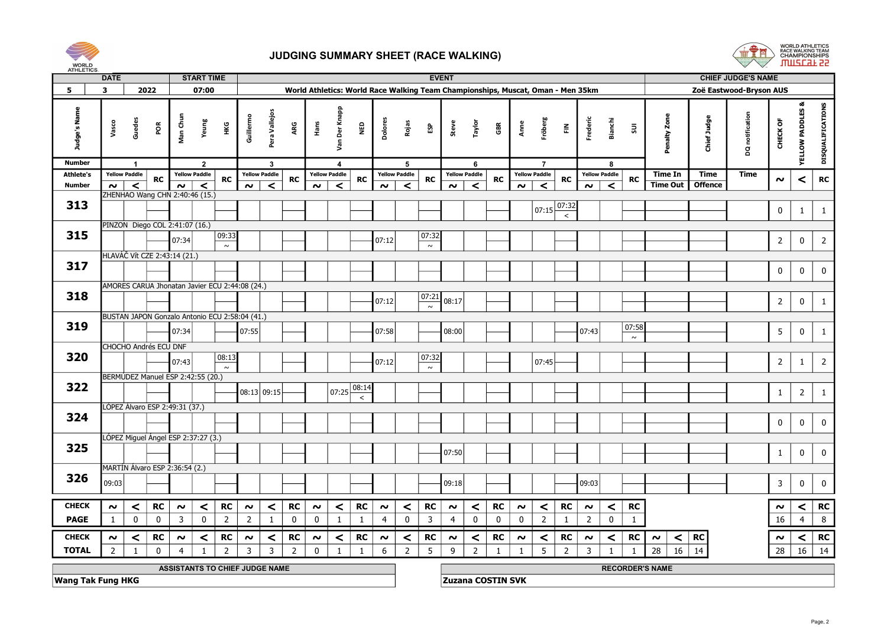



| AIRLEIRS.                     | <b>DATE</b>             |                                                |             |                                | <b>START TIME</b>       |                |                |                               |                |              |                                   |                |                                                                                 |                      |                 | <b>EVENT</b>   |                      |                          |                |                           |                            |                 |                         |              |                        |                | <b>CHIEF JUDGE'S NAME</b> |                 |                            |                   |
|-------------------------------|-------------------------|------------------------------------------------|-------------|--------------------------------|-------------------------|----------------|----------------|-------------------------------|----------------|--------------|-----------------------------------|----------------|---------------------------------------------------------------------------------|----------------------|-----------------|----------------|----------------------|--------------------------|----------------|---------------------------|----------------------------|-----------------|-------------------------|--------------|------------------------|----------------|---------------------------|-----------------|----------------------------|-------------------|
| 5                             | $\overline{\mathbf{3}}$ |                                                | 2022        |                                | 07:00                   |                |                |                               |                |              |                                   |                | World Athletics: World Race Walking Team Championships, Muscat, Oman - Men 35km |                      |                 |                |                      |                          |                |                           |                            |                 |                         |              |                        |                | Zoë Eastwood-Bryson AUS   |                 |                            |                   |
| Judge's Name<br><b>Number</b> | Vasco                   | Guedes<br>$\overline{1}$                       | PΩ          | Man Chu                        | Yeung<br>$\overline{2}$ | Нĸ             | Guillermo      | Pera Vallejos<br>$\mathbf{3}$ | ARG            | Hans         | Der Knapp<br>ទី<br>$\overline{4}$ | ēυ             | Dolores                                                                         | Rojas<br>5           | និ              | Steve          | Taylor<br>6          | GBR                      | Anne           | Fröberg<br>$\overline{7}$ | $\epsilon$                 | <b>Frederic</b> | Bianchi<br>8            | $\mathsf{S}$ | Penalty Zone           | Chief Judge    | DQ notification           | CHECK OF        | ಹ<br><b>YELLOW PADDLES</b> | DISQUALIFICATIONS |
| <b>Athlete's</b>              |                         | <b>Yellow Paddle</b>                           |             | <b>Yellow Paddle</b>           |                         |                |                | <b>Yellow Paddle</b>          |                |              | <b>Yellow Paddle</b>              |                |                                                                                 | <b>Yellow Paddle</b> |                 |                | <b>Yellow Paddle</b> |                          |                | <b>Yellow Paddle</b>      |                            |                 | <b>Yellow Paddle</b>    |              | Time In                | Time           | Time                      |                 |                            |                   |
| <b>Number</b>                 | $\sim$ $\mid$           | $\prec$                                        | RC          | $\sim$                         | $\prec$                 | <b>RC</b>      | $\sim$ $\mid$  | $\prec$                       | ${\sf RC}$     | $\sim$       | $\prec$                           | <b>RC</b>      | $\sim$                                                                          | $\prec$              | <b>RC</b>       | $\sim$         | $\prec$              | <b>RC</b>                | $\sim$         | $\prec$                   | <b>RC</b>                  | $\sim$          | $\prec$                 | <b>RC</b>    | Time Out               | <b>Offence</b> |                           | $\sim$          | $\prec$                    | RC                |
|                               |                         | ZHENHAO Wang CHN 2:40:46 (15.)                 |             |                                |                         |                |                |                               |                |              |                                   |                |                                                                                 |                      |                 |                |                      |                          |                |                           |                            |                 |                         |              |                        |                |                           |                 |                            |                   |
| 313                           |                         |                                                |             |                                |                         |                |                |                               |                |              |                                   |                |                                                                                 |                      |                 |                |                      |                          |                |                           | $107:15 \overline{)07:32}$ |                 |                         |              |                        |                |                           | $\mathbf 0$     | $\mathbf{1}$               | $\mathbf{1}$      |
|                               |                         |                                                |             |                                |                         |                |                |                               |                |              |                                   |                |                                                                                 |                      |                 |                |                      |                          |                |                           | $\prec$                    |                 |                         |              |                        |                |                           |                 |                            |                   |
| 315                           |                         | PINZON Diego COL 2:41:07 (16.)                 |             |                                |                         | 09:33          |                |                               |                |              |                                   |                |                                                                                 |                      | 07:32           |                |                      |                          |                |                           |                            |                 |                         |              |                        |                |                           |                 |                            |                   |
|                               |                         |                                                |             | 07:34                          |                         | $\sim$         |                |                               |                |              |                                   |                | 07:12                                                                           |                      | $\sim$          |                |                      |                          |                |                           |                            |                 |                         |              |                        |                |                           | $\overline{2}$  | $\bf{0}$                   | $\overline{2}$    |
|                               |                         | HLAVÁČ Vít CZE 2:43:14 (21.)                   |             |                                |                         |                |                |                               |                |              |                                   |                |                                                                                 |                      |                 |                |                      |                          |                |                           |                            |                 |                         |              |                        |                |                           |                 |                            |                   |
| 317                           |                         |                                                |             |                                |                         |                |                |                               |                |              |                                   |                |                                                                                 |                      |                 |                |                      |                          |                |                           |                            |                 |                         |              |                        |                |                           | $\pmb{0}$       | $\mathbf 0$                | $\mathbf 0$       |
|                               |                         |                                                |             |                                |                         |                |                |                               |                |              |                                   |                |                                                                                 |                      |                 |                |                      |                          |                |                           |                            |                 |                         |              |                        |                |                           |                 |                            |                   |
|                               |                         | AMORES CARUA Jhonatan Javier ECU 2:44:08 (24.) |             |                                |                         |                |                |                               |                |              |                                   |                |                                                                                 |                      |                 |                |                      |                          |                |                           |                            |                 |                         |              |                        |                |                           |                 |                            |                   |
| 318                           |                         |                                                |             |                                |                         |                |                |                               |                |              |                                   |                | 07:12                                                                           |                      | 07:21<br>$\sim$ | 08:17          |                      |                          |                |                           |                            |                 |                         |              |                        |                |                           | $\overline{2}$  | $\mathbf 0$                | $\mathbf{1}$      |
|                               |                         | BUSTAN JAPON Gonzalo Antonio ECU 2:58:04 (41.) |             |                                |                         |                |                |                               |                |              |                                   |                |                                                                                 |                      |                 |                |                      |                          |                |                           |                            |                 |                         |              |                        |                |                           |                 |                            |                   |
| 319                           |                         |                                                |             |                                |                         |                | 07:55          |                               |                |              |                                   |                |                                                                                 |                      |                 |                |                      |                          |                |                           |                            |                 |                         | 07:58        |                        |                |                           | $5\phantom{.0}$ |                            |                   |
|                               |                         |                                                |             | 07:34                          |                         |                |                |                               |                |              |                                   |                | 07:58                                                                           |                      |                 | 08:00          |                      |                          |                |                           |                            | 07:43           |                         | $\sim$       |                        |                |                           |                 | $\mathbf 0$                | 1                 |
|                               |                         | CHOCHO Andrés ECU DNF                          |             |                                |                         |                |                |                               |                |              |                                   |                |                                                                                 |                      |                 |                |                      |                          |                |                           |                            |                 |                         |              |                        |                |                           |                 |                            |                   |
| 320                           |                         |                                                |             | 07:43                          |                         | 08:13          |                |                               |                |              |                                   |                | 07:12                                                                           |                      | 07:32           |                |                      |                          |                | 07:45                     |                            |                 |                         |              |                        |                |                           | $\overline{2}$  | $\mathbf{1}$               | $\overline{2}$    |
|                               |                         | BERMÚDEZ Manuel ESP 2:42:55 (20.)              |             |                                |                         | $\sim$         |                |                               |                |              |                                   |                |                                                                                 |                      | $\sim$          |                |                      |                          |                |                           |                            |                 |                         |              |                        |                |                           |                 |                            |                   |
| 322                           |                         |                                                |             |                                |                         |                |                |                               |                |              |                                   |                |                                                                                 |                      |                 |                |                      |                          |                |                           |                            |                 |                         |              |                        |                |                           |                 |                            |                   |
|                               |                         |                                                |             |                                |                         |                |                | 08:13 09:15                   |                |              | $ 07:25 $ $\overline{08:1}$ 4     | $\prec$        |                                                                                 |                      |                 |                |                      |                          |                |                           |                            |                 |                         |              |                        |                |                           | $\mathbf{1}$    | $\overline{2}$             | 1                 |
|                               |                         | LÓPEZ Álvaro ESP 2:49:31 (37.)                 |             |                                |                         |                |                |                               |                |              |                                   |                |                                                                                 |                      |                 |                |                      |                          |                |                           |                            |                 |                         |              |                        |                |                           |                 |                            |                   |
| 324                           |                         |                                                |             |                                |                         |                |                |                               |                |              |                                   |                |                                                                                 |                      |                 |                |                      |                          |                |                           |                            |                 |                         |              |                        |                |                           | $\mathbf 0$     | $\mathbf 0$                | 0                 |
|                               |                         |                                                |             |                                |                         |                |                |                               |                |              |                                   |                |                                                                                 |                      |                 |                |                      |                          |                |                           |                            |                 |                         |              |                        |                |                           |                 |                            |                   |
| 325                           |                         | LÓPEZ Miguel Ángel ESP 2:37:27 (3.)            |             |                                |                         |                |                |                               |                |              |                                   |                |                                                                                 |                      |                 |                |                      |                          |                |                           |                            |                 |                         |              |                        |                |                           |                 |                            |                   |
|                               |                         |                                                |             |                                |                         |                |                |                               |                |              |                                   |                |                                                                                 |                      |                 | 07:50          |                      |                          |                |                           |                            |                 |                         |              |                        |                |                           | $\mathbf{1}$    | $\bf{0}$                   | $\mathbf 0$       |
|                               |                         | MARTÍN Álvaro ESP 2:36:54 (2.)                 |             |                                |                         |                |                |                               |                |              |                                   |                |                                                                                 |                      |                 |                |                      |                          |                |                           |                            |                 |                         |              |                        |                |                           |                 |                            |                   |
| 326                           | 09:03                   |                                                |             |                                |                         |                |                |                               |                |              |                                   |                |                                                                                 |                      |                 |                |                      |                          |                |                           |                            | 09:03           |                         |              |                        |                |                           | $\mathbf{3}$    |                            |                   |
|                               |                         |                                                |             |                                |                         |                |                |                               |                |              |                                   |                |                                                                                 |                      |                 | 09:18          |                      |                          |                |                           |                            |                 |                         |              |                        |                |                           |                 | $\bf{0}$                   | 0                 |
| <b>CHECK</b>                  |                         |                                                | <b>RC</b>   |                                | $\prec$                 | RC             |                |                               | <b>RC</b>      |              |                                   | RC             |                                                                                 |                      | RC              |                |                      | RC                       |                |                           | <b>RC</b>                  |                 |                         | <b>RC</b>    |                        |                |                           |                 |                            | <b>RC</b>         |
|                               | $\sim$                  | $\prec$                                        |             | $\sim$                         |                         |                | $\sim$         | $\prec$                       |                | $\sim$       | $\prec$                           |                | $\sim$                                                                          | $\prec$              |                 | $\sim$         | $\prec$              |                          | $\sim$         | $\prec$                   |                            | $\sim$          | $\vert$ $\vert$         |              |                        |                |                           | $\sim$          | $\prec$                    |                   |
| <b>PAGE</b>                   | $\mathbf{1}$            | $\overline{\mathbf{0}}$                        | $\mathbf 0$ | $\mathbf{3}$                   | $\mathbf 0$             | $\overline{2}$ | $\overline{2}$ | $\overline{1}$                | $\Omega$       | $\Omega$     | $\overline{1}$                    | $\overline{1}$ | $\overline{4}$                                                                  | $\mathbf 0$          | $\overline{3}$  | $\overline{4}$ | $\mathbf 0$          | $\mathbf 0$              | $\overline{0}$ | $\overline{2}$            | $\mathbf{1}$               | $\overline{2}$  | $\mathbf 0$             | $\mathbf{1}$ |                        |                |                           | 16              | $\overline{4}$             | 8                 |
| <b>CHECK</b>                  | $\sim$                  | $\prec$                                        | RC          | $\sim$                         | $\prec$                 | <b>RC</b>      | $\sim$         | $\prec$                       | <b>RC</b>      | $\sim$       | $\leq$                            | <b>RC</b>      | $\sim$                                                                          | $\prec$              | <b>RC</b>       | $\sim$         | $\prec$              | <b>RC</b>                | $\sim$         | $\prec$                   | <b>RC</b>                  | $\sim$          | $\vert$ $\vert$         | RC           | $\prec$<br>$\sim$      | RC             |                           | $\sim$          | $\prec$                    | <b>RC</b>         |
| <b>TOTAL</b>                  | $\overline{2}$          | 1                                              | $\mathbf 0$ | $\overline{a}$                 |                         | $\overline{2}$ | 3              | $\overline{3}$                | $\overline{z}$ | $\mathbf{0}$ | $\overline{1}$                    | $\overline{1}$ | 6                                                                               | $\overline{2}$       | 5               | 9              | $\overline{2}$       | $\overline{1}$           |                | 5                         | $\overline{2}$             | $\overline{3}$  | $\overline{\mathbf{1}}$ |              | 28<br>16               | $\vert$ 14     |                           | 28              | 16                         | 14                |
|                               |                         |                                                |             |                                |                         |                |                |                               |                |              |                                   |                |                                                                                 |                      |                 |                |                      |                          |                |                           |                            |                 |                         |              |                        |                |                           |                 |                            |                   |
|                               |                         |                                                |             | ASSISTANTS TO CHIEF JUDGE NAME |                         |                |                |                               |                |              |                                   |                |                                                                                 |                      |                 |                |                      |                          |                |                           |                            |                 |                         |              | <b>RECORDER'S NAME</b> |                |                           |                 |                            |                   |
| <b>Wang Tak Fung HKG</b>      |                         |                                                |             |                                |                         |                |                |                               |                |              |                                   |                |                                                                                 |                      |                 |                |                      | <b>Zuzana COSTIN SVK</b> |                |                           |                            |                 |                         |              |                        |                |                           |                 |                            |                   |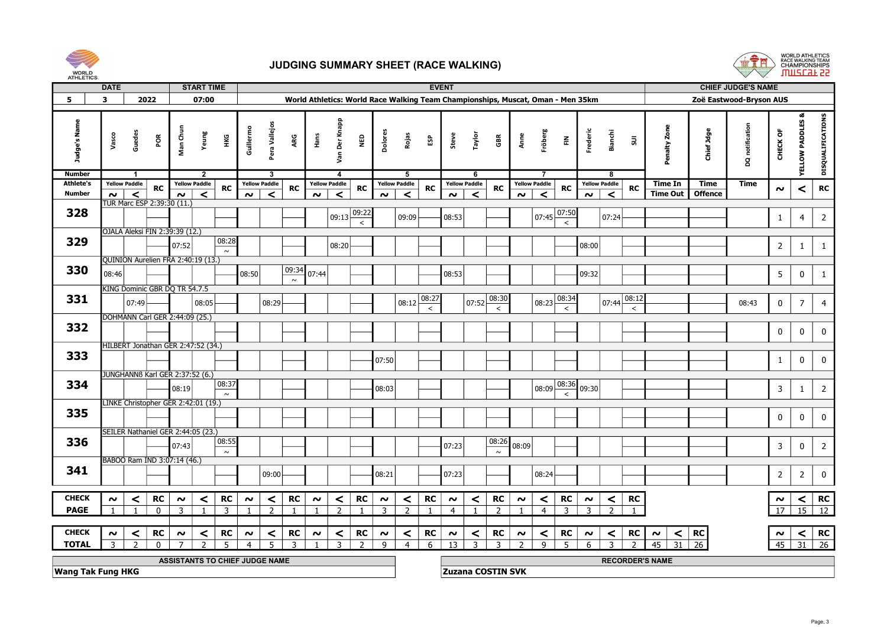



| ALLELING                 |               |                           |                                        |                          |                           |                                |                          |                      |                |                     |                              |                                                                                 |                |                      |              |                |                              |                      |                |                         |                                                         |                |                           |                             |                                    |                 |                           |                         |                             |                   |
|--------------------------|---------------|---------------------------|----------------------------------------|--------------------------|---------------------------|--------------------------------|--------------------------|----------------------|----------------|---------------------|------------------------------|---------------------------------------------------------------------------------|----------------|----------------------|--------------|----------------|------------------------------|----------------------|----------------|-------------------------|---------------------------------------------------------|----------------|---------------------------|-----------------------------|------------------------------------|-----------------|---------------------------|-------------------------|-----------------------------|-------------------|
|                          | <b>DATE</b>   |                           |                                        |                          | <b>START TIME</b>         |                                |                          |                      |                |                     |                              |                                                                                 |                |                      |              | <b>EVENT</b>   |                              |                      |                |                         |                                                         |                |                           |                             |                                    |                 | <b>CHIEF JUDGE'S NAME</b> |                         |                             |                   |
| 5.                       | $\mathbf{3}$  |                           | 2022                                   |                          | 07:00                     |                                |                          |                      |                |                     |                              | World Athletics: World Race Walking Team Championships, Muscat, Oman - Men 35km |                |                      |              |                |                              |                      |                |                         |                                                         |                |                           |                             |                                    |                 | Zoë Eastwood-Bryson AUS   |                         |                             |                   |
| Judge's Name             | Vasco         | Guedes                    | $\tilde{\mathsf{p}}$                   | Man Chui                 | Yeung                     | ¥G                             | Guillermo                | Pera Vallejos        | ARG            | Hans                | Der Knapp<br>S <sub>an</sub> | <b>Q3M</b>                                                                      | Dolores        | Rojas                | និ           | Steve          | Taylor                       | GBR                  | Anne           | Fröberg                 | $\tilde{\Xi}$                                           | Frederic       | Bianchi                   | $\mathsf{su}$               | Penalty Zone                       | Chief Jdge      | DQ notification           | CHECK OF                | <b>YELLOW PADDLES &amp;</b> | DISQUALIFICATIONS |
| <b>Number</b>            |               | -1                        |                                        |                          | $\overline{2}$            |                                |                          | $\mathbf{3}$         |                |                     | $\overline{a}$               |                                                                                 |                | 5                    |              |                | 6                            |                      |                |                         |                                                         |                | -8                        |                             |                                    |                 |                           |                         |                             |                   |
| <b>Athlete's</b>         |               | <b>Yellow Paddle</b>      | RC                                     |                          | <b>Yellow Paddle</b>      | <b>RC</b>                      |                          | <b>Yellow Paddle</b> | <b>RC</b>      |                     | <b>Yellow Paddle</b>         | <b>RC</b>                                                                       |                | <b>Yellow Paddle</b> | <b>RC</b>    |                | <b>Yellow Paddle</b>         | <b>RC</b>            |                | <b>Yellow Paddle</b>    | <b>RC</b>                                               |                | <b>Yellow Paddle</b>      | <b>RC</b>                   | Time In                            | Time            | Time                      | $\boldsymbol{\sim}$     | $\,<$                       | <b>RC</b>         |
| Number                   | $\sim$ $\mid$ | $\prec$                   | TUR Marc ESP 2:39:30 (11.)             | $\sim$                   | $\prec$                   |                                | $\sim$                   | $\prec$              |                | $\sim$              | $\prec$                      |                                                                                 | $\sim$         | $\prec$              |              | $\sim$         | $\prec$                      |                      | $\sim$         | $\prec$                 |                                                         | $\sim$         | $\prec$                   |                             | <b>Time Out</b>                    | <b>Offence</b>  |                           |                         |                             |                   |
| 328                      |               |                           |                                        |                          |                           |                                |                          |                      |                |                     |                              | $1_{09:13}$ 09:22                                                               |                |                      |              |                |                              |                      |                |                         | $107:45\overline{07:50}$                                |                |                           |                             |                                    |                 |                           |                         |                             |                   |
|                          |               |                           |                                        |                          |                           |                                |                          |                      |                |                     |                              | $\prec$                                                                         |                | 09:09                |              | 08:53          |                              |                      |                |                         | $\prec$                                                 |                | 07:24                     |                             |                                    |                 |                           | $\mathbf 1$             | $\overline{4}$              | $\overline{2}$    |
|                          |               |                           | <b>OJALA Aleksi FIN 2:39:39 (12.)</b>  |                          |                           |                                |                          |                      |                |                     |                              |                                                                                 |                |                      |              |                |                              |                      |                |                         |                                                         |                |                           |                             |                                    |                 |                           |                         |                             |                   |
| 329                      |               |                           |                                        | 07:52                    |                           | 08:28<br>$\sim$                |                          |                      |                |                     | 08:20                        |                                                                                 |                |                      |              |                |                              |                      |                |                         |                                                         | 08:00          |                           |                             |                                    |                 |                           | $\overline{2}$          | $\mathbf{1}$                | 1                 |
|                          |               |                           | QUINION Aurelien FRA 2:40:19 (13.)     |                          |                           |                                |                          |                      |                |                     |                              |                                                                                 |                |                      |              |                |                              |                      |                |                         |                                                         |                |                           |                             |                                    |                 |                           |                         |                             |                   |
| 330                      | 08:46         |                           |                                        |                          |                           |                                | 08:50                    |                      | 09:34          | 07:44               |                              |                                                                                 |                |                      |              | 08:53          |                              |                      |                |                         |                                                         | 09:32          |                           |                             |                                    |                 |                           | $5\phantom{.0}$         | $\bf{0}$                    | $\mathbf{1}$      |
|                          |               |                           |                                        |                          |                           |                                |                          |                      | $\sim$         |                     |                              |                                                                                 |                |                      |              |                |                              |                      |                |                         |                                                         |                |                           |                             |                                    |                 |                           |                         |                             |                   |
| 331                      |               |                           | KING Dominic GBR DQ TR 54.7.5          |                          |                           |                                |                          |                      |                |                     |                              |                                                                                 |                |                      | 08:27        |                |                              |                      |                |                         |                                                         |                | 08:12                     |                             |                                    |                 |                           |                         |                             |                   |
|                          |               | 07:49                     |                                        |                          | 08:05                     |                                |                          | 08:29                |                |                     |                              |                                                                                 |                | 08:12                | $\langle$    |                | $ 07:52 $ $\overline{08:30}$ | $\langle$            |                |                         | $1_{08:23}$ $\boxed{08:34}$<br>$\overline{\overline{}}$ |                | 07:44                     | $\,<\,$                     |                                    |                 | 08:43                     | $\pmb{0}$               | $\overline{7}$              | $\overline{4}$    |
|                          |               |                           | DOHMANN Carl GER 2:44:09 (25.)         |                          |                           |                                |                          |                      |                |                     |                              |                                                                                 |                |                      |              |                |                              |                      |                |                         |                                                         |                |                           |                             |                                    |                 |                           |                         |                             |                   |
| 332                      |               |                           |                                        |                          |                           |                                |                          |                      |                |                     |                              |                                                                                 |                |                      |              |                |                              |                      |                |                         |                                                         |                |                           |                             |                                    |                 |                           | $\mathbf 0$             | $\mathbf 0$                 | $\mathbf 0$       |
|                          |               |                           |                                        |                          |                           |                                |                          |                      |                |                     |                              |                                                                                 |                |                      |              |                |                              |                      |                |                         |                                                         |                |                           |                             |                                    |                 |                           |                         |                             |                   |
| 333                      |               |                           | HILBERT Jonathan GER 2:47:52 (34.)     |                          |                           |                                |                          |                      |                |                     |                              |                                                                                 |                |                      |              |                |                              |                      |                |                         |                                                         |                |                           |                             |                                    |                 |                           |                         |                             |                   |
|                          |               |                           |                                        |                          |                           |                                |                          |                      |                |                     |                              |                                                                                 | 07:50          |                      |              |                |                              |                      |                |                         |                                                         |                |                           |                             |                                    |                 |                           | $\mathbf{1}$            | $\mathbf 0$                 | $\bf{0}$          |
|                          |               |                           | <b>JUNGHANNB Karl GER 2:37:52 (6.)</b> |                          |                           |                                |                          |                      |                |                     |                              |                                                                                 |                |                      |              |                |                              |                      |                |                         |                                                         |                |                           |                             |                                    |                 |                           |                         |                             |                   |
| 334                      |               |                           |                                        | 08:19                    |                           | 08:37                          |                          |                      |                |                     |                              |                                                                                 | 08:03          |                      |              |                |                              |                      |                | 08:09                   | 08:36                                                   | 09:30          |                           |                             |                                    |                 |                           | $\mathbf{3}$            | $\mathbf{1}$                | $\overline{2}$    |
|                          |               |                           | LINKE Christopher GER 2:42:01 (19.)    |                          |                           |                                |                          |                      |                |                     |                              |                                                                                 |                |                      |              |                |                              |                      |                |                         | $\,<$                                                   |                |                           |                             |                                    |                 |                           |                         |                             |                   |
| 335                      |               |                           |                                        |                          |                           |                                |                          |                      |                |                     |                              |                                                                                 |                |                      |              |                |                              |                      |                |                         |                                                         |                |                           |                             |                                    |                 |                           |                         |                             |                   |
|                          |               |                           |                                        |                          |                           |                                |                          |                      |                |                     |                              |                                                                                 |                |                      |              |                |                              |                      |                |                         |                                                         |                |                           |                             |                                    |                 |                           | $\pmb{0}$               | $\bf{0}$                    | 0                 |
|                          |               |                           | SEILER Nathaniel GER 2:44:05 (23.)     |                          |                           |                                |                          |                      |                |                     |                              |                                                                                 |                |                      |              |                |                              |                      |                |                         |                                                         |                |                           |                             |                                    |                 |                           |                         |                             |                   |
| 336                      |               |                           |                                        | 07:43                    |                           | 08:55                          |                          |                      |                |                     |                              |                                                                                 |                |                      |              | 07:23          |                              | 08:26                | 08:09          |                         |                                                         |                |                           |                             |                                    |                 |                           | $\overline{\mathbf{3}}$ | $\mathbf 0$                 | $\overline{2}$    |
|                          |               |                           | BABOO Ram IND 3:07:14 (46.)            |                          |                           | $\sim$                         |                          |                      |                |                     |                              |                                                                                 |                |                      |              |                |                              | $\sim$               |                |                         |                                                         |                |                           |                             |                                    |                 |                           |                         |                             |                   |
| 341                      |               |                           |                                        |                          |                           |                                |                          |                      |                |                     |                              |                                                                                 |                |                      |              |                |                              |                      |                |                         |                                                         |                |                           |                             |                                    |                 |                           |                         |                             |                   |
|                          |               |                           |                                        |                          |                           |                                |                          | 09:00                |                |                     |                              |                                                                                 | 08:21          |                      |              | 07:23          |                              |                      |                | 08:24                   |                                                         |                |                           |                             |                                    |                 |                           | $\overline{2}$          | $\overline{2}$              | $\mathbf 0$       |
|                          |               |                           |                                        |                          |                           |                                |                          |                      |                |                     |                              |                                                                                 |                |                      |              |                |                              |                      |                |                         |                                                         |                |                           |                             |                                    |                 |                           |                         |                             |                   |
| <b>CHECK</b>             | $\sim$        | $\prec$                   | <b>RC</b>                              | $\sim$                   | $\prec$                   | <b>RC</b>                      | $\sim$                   | $\prec$              | <b>RC</b>      | $\sim$              | $\prec$                      | <b>RC</b>                                                                       | $\sim$         | $\prec$              | <b>RC</b>    | $\sim$         | $\prec$                      | <b>RC</b>            | $\sim$         | $\prec$                 | <b>RC</b>                                               | $\sim$         | $\prec$                   | <b>RC</b>                   |                                    |                 |                           | $\sim$                  | $\prec$                     | <b>RC</b>         |
| <b>PAGE</b>              |               | $\overline{1}$            | $\mathbf{0}$                           | $\overline{3}$           | $\mathbf{1}$              | $\overline{3}$                 |                          | 2                    | $\mathbf{1}$   |                     | $\overline{2}$               | $\mathbf{1}$                                                                    | $\overline{3}$ | $\overline{2}$       | $\mathbf{1}$ | $\overline{4}$ |                              | $\overline{2}$       | $\overline{1}$ | $\overline{4}$          | $\overline{3}$                                          | $\overline{3}$ | $\overline{2}$            | $\mathbf{1}$                |                                    |                 |                           | 17                      | 15                          | $\overline{12}$   |
|                          |               |                           |                                        |                          |                           |                                |                          |                      |                |                     |                              |                                                                                 |                |                      |              |                |                              |                      |                |                         |                                                         |                |                           |                             |                                    |                 |                           |                         |                             |                   |
| <b>CHECK</b>             | $\sim$        | $\prec$<br>$\overline{2}$ | RC                                     | $\sim$<br>$\overline{7}$ | $\prec$<br>$\overline{2}$ | RC<br>5                        | $\sim$<br>$\overline{4}$ | $\prec$<br>5         | RC             | $\boldsymbol{\sim}$ | $\prec$                      | RC                                                                              | $\sim$<br>9    | $\prec$              | RC           | $\sim$         | $\prec$<br>$\overline{3}$    | RC<br>$\overline{3}$ | $\sim$         | $\prec$<br>$\mathsf{q}$ | <b>RC</b><br>5                                          | $\sim$         | $\prec$<br>$\overline{3}$ | <b>RC</b><br>$\overline{2}$ | $\sim$<br>$\prec$                  | <b>RC</b>       |                           | $\sim$                  | $\prec$                     | <b>RC</b>         |
| <b>TOTAL</b>             | $\mathbf{3}$  |                           | $\mathbf{0}$                           |                          |                           |                                |                          |                      | $\overline{3}$ |                     | $\overline{3}$               | $\overline{2}$                                                                  |                | $\overline{4}$       | 6            | 13             |                              |                      | $\overline{2}$ |                         |                                                         | 6              |                           |                             | $\overline{45}$<br>$\overline{31}$ | $\overline{26}$ |                           |                         |                             | $45$ 31 26        |
|                          |               |                           |                                        |                          |                           | ASSISTANTS TO CHIEF JUDGE NAME |                          |                      |                |                     |                              |                                                                                 |                |                      |              |                |                              |                      |                |                         |                                                         |                | <b>RECORDER'S NAME</b>    |                             |                                    |                 |                           |                         |                             |                   |
| <b>Wang Tak Fung HKG</b> |               |                           |                                        |                          |                           |                                |                          |                      |                |                     |                              |                                                                                 |                |                      |              |                | <b>Zuzana COSTIN SVK</b>     |                      |                |                         |                                                         |                |                           |                             |                                    |                 |                           |                         |                             |                   |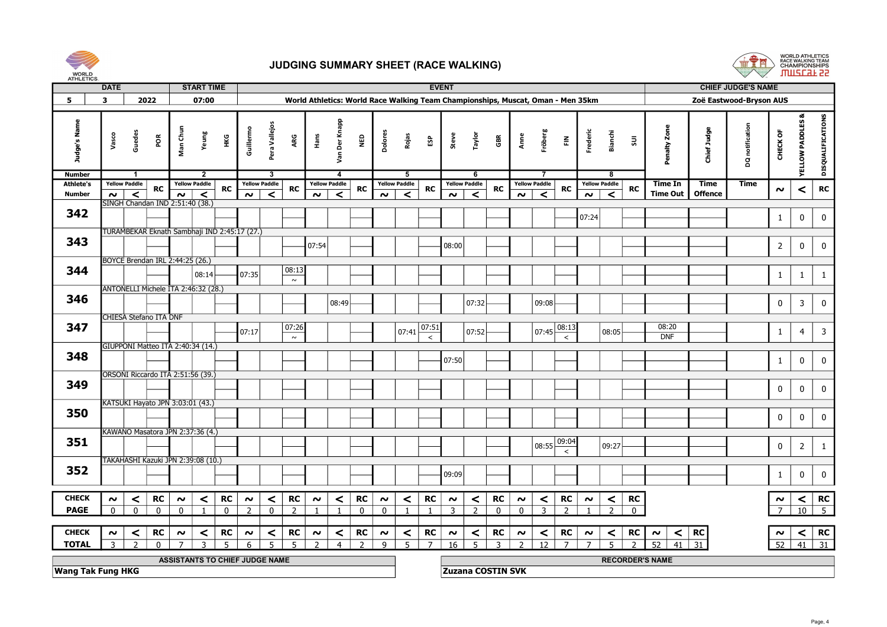



| <b>START TIME</b><br><b>EVENT</b><br><b>CHIEF JUDGE'S NAME</b><br><b>DATE</b><br>2022<br>$\mathbf{3}$<br>World Athletics: World Race Walking Team Championships, Muscat, Oman - Men 35km<br>Zoë Eastwood-Bryson AUS<br>5.<br>07:00<br>DISQUALIFICATIONS<br>œ<br><b>YELLOW PADDLES</b><br>Der Knapp<br>Pera Vallejos<br>notification<br>Judge's Nam<br>Penalty Zone<br>Guillermo<br>Chief Judge<br>Frederic<br>CHECK OF<br>Guedes<br>Fröberg<br>Bianchi<br>Dolores<br>Yeung<br>Vasco<br>Rojas<br>Taylor<br>Steve<br>Anne<br>$\frac{\sigma}{2}$<br>Man Ch<br>ΨĞ<br>ARG<br>Hãns<br>H<br>gaw<br>GBR<br>$\tilde{\Xi}$<br>និ<br>$\Xi$<br>nev<br>g<br><b>Number</b><br>$\overline{2}$<br>$\overline{\mathbf{3}}$<br>$\overline{4}$<br>5<br>$\blacktriangleleft$<br>6<br>8<br>7<br><b>Yellow Paddle</b><br><b>Yellow Paddle</b><br><b>Athlete's</b><br><b>Yellow Paddle</b><br><b>Yellow Paddle</b><br><b>Yellow Paddle</b><br><b>Yellow Paddle</b><br><b>Yellow Paddle</b><br><b>Yellow Paddle</b><br>Time In<br>Time<br>Time<br><b>RC</b><br><b>RC</b><br><b>RC</b><br><b>RC</b><br><b>RC</b><br><b>RC</b><br><b>RC</b><br><b>RC</b><br>$\,<$<br>RC<br>$\boldsymbol{\sim}$<br><b>Time Out</b><br><b>Offence</b><br>$\prec$<br>$\prec$<br>$\prec$<br>$\prec$<br>$\prec$<br>$\prec$<br>Number<br>$\sim$ $\mid$<br>$\prec$<br>$\sim$ $\mid$<br>$\prec$<br>$\sim$ $\mid$<br>$\sim$<br>$\sim$ $\mid$<br>$\sim$<br>$\sim$<br>$\sim$<br>SINGH Chandan IND 2:51:40 (38.)<br>342<br>$\mathbf 0$<br>07:24<br>$\mathbf{1}$<br>0<br>TURAMBEKAR Eknath Sambhaji IND 2:45:17 (27.)<br>343<br>07:54<br>08:00<br>$\overline{2}$<br>$\bf{0}$<br>0<br>BOYCE Brendan IRL 2:44:25 (26.)<br>344<br> 08:13<br>07:35<br>08:14<br>$\mathbf{1}$<br>$\mathbf{1}$<br>$\mathbf{1}$<br>$\sim$<br>ANTONELLI Michele ITA 2:46:32 (28.)<br>346<br>$\pmb{0}$<br>$\overline{\mathbf{3}}$<br>08:49<br>07:32<br> 09:08 <br>0<br><b>CHIESA Stefano ITA DNF</b><br>347<br>07:26<br> 07:51<br>$107:45 \overline{08:13}$<br>08:20<br>07:17<br> 07:41<br>$\mathbf{1}$<br>$\overline{4}$<br>3<br> 07:52 <br>08:05<br><b>DNF</b><br>$\prec$<br>$\prec$<br>$\sim$<br>GIUPPONI Matteo ITA 2:40:34 (14.)<br>348<br>07:50<br>$\bf{0}$<br>$\mathbf{1}$<br>$\mathbf 0$<br>ORSONI Riccardo ITA 2:51:56 (39.)<br>349<br>$\mathbf 0$<br>$\mathbf 0$<br>$\mathbf 0$<br>KATSUKI Hayato JPN 3:03:01 (43.)<br>350<br>$\pmb{0}$<br>$\bf{0}$<br>0<br>KAWANO Masatora JPN 2:37:36 (4.)<br>351<br>09:04<br>$\mathbf 0$<br>$\overline{2}$<br>09:27<br>08:55<br>1<br>$\,<\,$<br>TAKAHASHI Kazuki JPN 2:39:08 (10.)<br>352<br>09:09<br>$\mathbf 0$<br>$\mathbf{1}$<br>0<br><b>RC</b><br><b>RC</b><br><b>RC</b><br><b>RC</b><br><b>RC</b><br><b>RC</b><br><b>RC</b><br><b>CHECK</b><br><b>RC</b><br><b>RC</b><br>$\prec$<br>$\sim$<br>$\prec$<br>$\sim$<br>$\prec$<br>$\sim$<br>$\prec$<br>$\prec$<br>$\prec$<br>$\sim$<br>$\prec$<br>$\prec$<br>$\prec$<br>$\sim$<br>$\sim$<br>$\boldsymbol{\sim}$<br>$\sim$<br>$\sim$<br>$\overline{0}$<br>$\overline{10}$<br>$\overline{z}$<br><b>PAGE</b><br>$\overline{2}$<br>$\overline{7}$<br>5 <sup>1</sup><br>$\Omega$<br>$\Omega$<br>$\overline{2}$<br>$\Omega$<br>$\overline{z}$<br>$\Omega$<br>$\Omega$<br>$\overline{3}$<br>$\overline{2}$<br>$\Omega$<br>$\Omega$<br>$\mathbf{R}$<br>$\Omega$<br>$\Omega$<br>$\blacksquare$<br>$\Omega$<br>$\overline{1}$<br>$\blacksquare$<br>$\blacksquare$<br><b>CHECK</b><br><b>RC</b><br><b>RC</b><br><b>RC</b><br>RC<br>RC<br><b>RC</b><br><b>RC</b><br><b>RC</b><br><b>RC</b><br><b>RC</b><br>$\sim$<br>$\prec$<br>$\sim$<br>$\prec$<br>$\sim$<br>$\prec$<br>$\sim$<br>$\prec$<br>$\sim$<br>$\prec$<br>$\sim$<br>$\prec$<br>$\sim$<br>$\prec$<br>$\sim$<br>$\prec$<br>$\sim$<br>$\prec$<br>$\prec$<br>$\sim$<br>$\overline{z}$<br>$\overline{2}$<br>5<br>$\overline{7}$<br>$\overline{3}$<br>12<br>$\overline{7}$<br>$\mathcal{L}$<br>52<br>41<br>31<br>52<br>$-41$<br><b>TOTAL</b><br>$\mathbf{3}$<br>5<br>$\overline{\phantom{a}}$<br>.5<br>$\overline{4}$<br>9<br>16<br>.5<br>$\overline{z}$<br>5<br>31<br>3<br>$\mathbf{0}$<br>$\overline{z}$<br>$\overline{z}$<br>6<br>ASSISTANTS TO CHIEF JUDGE NAME<br><b>RECORDER'S NAME</b> | ATTLE HOS |  |  |  |  |  |  |  |  |  |  |  |  |  |  |  |
|-----------------------------------------------------------------------------------------------------------------------------------------------------------------------------------------------------------------------------------------------------------------------------------------------------------------------------------------------------------------------------------------------------------------------------------------------------------------------------------------------------------------------------------------------------------------------------------------------------------------------------------------------------------------------------------------------------------------------------------------------------------------------------------------------------------------------------------------------------------------------------------------------------------------------------------------------------------------------------------------------------------------------------------------------------------------------------------------------------------------------------------------------------------------------------------------------------------------------------------------------------------------------------------------------------------------------------------------------------------------------------------------------------------------------------------------------------------------------------------------------------------------------------------------------------------------------------------------------------------------------------------------------------------------------------------------------------------------------------------------------------------------------------------------------------------------------------------------------------------------------------------------------------------------------------------------------------------------------------------------------------------------------------------------------------------------------------------------------------------------------------------------------------------------------------------------------------------------------------------------------------------------------------------------------------------------------------------------------------------------------------------------------------------------------------------------------------------------------------------------------------------------------------------------------------------------------------------------------------------------------------------------------------------------------------------------------------------------------------------------------------------------------------------------------------------------------------------------------------------------------------------------------------------------------------------------------------------------------------------------------------------------------------------------------------------------------------------------------------------------------------------------------------------------------------------------------------------------------------------------------------------------------------------------------------------------------------------------------------------------------------------------------------------------------------------------------------------------------------------------------------------------------------------------------------------------------------------------------------------------------------------------------------------------------------------------------------------------------------------------------------------------------------------------------------------------------------------------------------------------------------------------------------------------------------------------------------------------------------------------------------------------------------------------------------------------------------------------------------------------------------------------------------|-----------|--|--|--|--|--|--|--|--|--|--|--|--|--|--|--|
|                                                                                                                                                                                                                                                                                                                                                                                                                                                                                                                                                                                                                                                                                                                                                                                                                                                                                                                                                                                                                                                                                                                                                                                                                                                                                                                                                                                                                                                                                                                                                                                                                                                                                                                                                                                                                                                                                                                                                                                                                                                                                                                                                                                                                                                                                                                                                                                                                                                                                                                                                                                                                                                                                                                                                                                                                                                                                                                                                                                                                                                                                                                                                                                                                                                                                                                                                                                                                                                                                                                                                                                                                                                                                                                                                                                                                                                                                                                                                                                                                                                                                                                                                     |           |  |  |  |  |  |  |  |  |  |  |  |  |  |  |  |
|                                                                                                                                                                                                                                                                                                                                                                                                                                                                                                                                                                                                                                                                                                                                                                                                                                                                                                                                                                                                                                                                                                                                                                                                                                                                                                                                                                                                                                                                                                                                                                                                                                                                                                                                                                                                                                                                                                                                                                                                                                                                                                                                                                                                                                                                                                                                                                                                                                                                                                                                                                                                                                                                                                                                                                                                                                                                                                                                                                                                                                                                                                                                                                                                                                                                                                                                                                                                                                                                                                                                                                                                                                                                                                                                                                                                                                                                                                                                                                                                                                                                                                                                                     |           |  |  |  |  |  |  |  |  |  |  |  |  |  |  |  |
|                                                                                                                                                                                                                                                                                                                                                                                                                                                                                                                                                                                                                                                                                                                                                                                                                                                                                                                                                                                                                                                                                                                                                                                                                                                                                                                                                                                                                                                                                                                                                                                                                                                                                                                                                                                                                                                                                                                                                                                                                                                                                                                                                                                                                                                                                                                                                                                                                                                                                                                                                                                                                                                                                                                                                                                                                                                                                                                                                                                                                                                                                                                                                                                                                                                                                                                                                                                                                                                                                                                                                                                                                                                                                                                                                                                                                                                                                                                                                                                                                                                                                                                                                     |           |  |  |  |  |  |  |  |  |  |  |  |  |  |  |  |
|                                                                                                                                                                                                                                                                                                                                                                                                                                                                                                                                                                                                                                                                                                                                                                                                                                                                                                                                                                                                                                                                                                                                                                                                                                                                                                                                                                                                                                                                                                                                                                                                                                                                                                                                                                                                                                                                                                                                                                                                                                                                                                                                                                                                                                                                                                                                                                                                                                                                                                                                                                                                                                                                                                                                                                                                                                                                                                                                                                                                                                                                                                                                                                                                                                                                                                                                                                                                                                                                                                                                                                                                                                                                                                                                                                                                                                                                                                                                                                                                                                                                                                                                                     |           |  |  |  |  |  |  |  |  |  |  |  |  |  |  |  |
|                                                                                                                                                                                                                                                                                                                                                                                                                                                                                                                                                                                                                                                                                                                                                                                                                                                                                                                                                                                                                                                                                                                                                                                                                                                                                                                                                                                                                                                                                                                                                                                                                                                                                                                                                                                                                                                                                                                                                                                                                                                                                                                                                                                                                                                                                                                                                                                                                                                                                                                                                                                                                                                                                                                                                                                                                                                                                                                                                                                                                                                                                                                                                                                                                                                                                                                                                                                                                                                                                                                                                                                                                                                                                                                                                                                                                                                                                                                                                                                                                                                                                                                                                     |           |  |  |  |  |  |  |  |  |  |  |  |  |  |  |  |
|                                                                                                                                                                                                                                                                                                                                                                                                                                                                                                                                                                                                                                                                                                                                                                                                                                                                                                                                                                                                                                                                                                                                                                                                                                                                                                                                                                                                                                                                                                                                                                                                                                                                                                                                                                                                                                                                                                                                                                                                                                                                                                                                                                                                                                                                                                                                                                                                                                                                                                                                                                                                                                                                                                                                                                                                                                                                                                                                                                                                                                                                                                                                                                                                                                                                                                                                                                                                                                                                                                                                                                                                                                                                                                                                                                                                                                                                                                                                                                                                                                                                                                                                                     |           |  |  |  |  |  |  |  |  |  |  |  |  |  |  |  |
|                                                                                                                                                                                                                                                                                                                                                                                                                                                                                                                                                                                                                                                                                                                                                                                                                                                                                                                                                                                                                                                                                                                                                                                                                                                                                                                                                                                                                                                                                                                                                                                                                                                                                                                                                                                                                                                                                                                                                                                                                                                                                                                                                                                                                                                                                                                                                                                                                                                                                                                                                                                                                                                                                                                                                                                                                                                                                                                                                                                                                                                                                                                                                                                                                                                                                                                                                                                                                                                                                                                                                                                                                                                                                                                                                                                                                                                                                                                                                                                                                                                                                                                                                     |           |  |  |  |  |  |  |  |  |  |  |  |  |  |  |  |
|                                                                                                                                                                                                                                                                                                                                                                                                                                                                                                                                                                                                                                                                                                                                                                                                                                                                                                                                                                                                                                                                                                                                                                                                                                                                                                                                                                                                                                                                                                                                                                                                                                                                                                                                                                                                                                                                                                                                                                                                                                                                                                                                                                                                                                                                                                                                                                                                                                                                                                                                                                                                                                                                                                                                                                                                                                                                                                                                                                                                                                                                                                                                                                                                                                                                                                                                                                                                                                                                                                                                                                                                                                                                                                                                                                                                                                                                                                                                                                                                                                                                                                                                                     |           |  |  |  |  |  |  |  |  |  |  |  |  |  |  |  |
|                                                                                                                                                                                                                                                                                                                                                                                                                                                                                                                                                                                                                                                                                                                                                                                                                                                                                                                                                                                                                                                                                                                                                                                                                                                                                                                                                                                                                                                                                                                                                                                                                                                                                                                                                                                                                                                                                                                                                                                                                                                                                                                                                                                                                                                                                                                                                                                                                                                                                                                                                                                                                                                                                                                                                                                                                                                                                                                                                                                                                                                                                                                                                                                                                                                                                                                                                                                                                                                                                                                                                                                                                                                                                                                                                                                                                                                                                                                                                                                                                                                                                                                                                     |           |  |  |  |  |  |  |  |  |  |  |  |  |  |  |  |
|                                                                                                                                                                                                                                                                                                                                                                                                                                                                                                                                                                                                                                                                                                                                                                                                                                                                                                                                                                                                                                                                                                                                                                                                                                                                                                                                                                                                                                                                                                                                                                                                                                                                                                                                                                                                                                                                                                                                                                                                                                                                                                                                                                                                                                                                                                                                                                                                                                                                                                                                                                                                                                                                                                                                                                                                                                                                                                                                                                                                                                                                                                                                                                                                                                                                                                                                                                                                                                                                                                                                                                                                                                                                                                                                                                                                                                                                                                                                                                                                                                                                                                                                                     |           |  |  |  |  |  |  |  |  |  |  |  |  |  |  |  |
|                                                                                                                                                                                                                                                                                                                                                                                                                                                                                                                                                                                                                                                                                                                                                                                                                                                                                                                                                                                                                                                                                                                                                                                                                                                                                                                                                                                                                                                                                                                                                                                                                                                                                                                                                                                                                                                                                                                                                                                                                                                                                                                                                                                                                                                                                                                                                                                                                                                                                                                                                                                                                                                                                                                                                                                                                                                                                                                                                                                                                                                                                                                                                                                                                                                                                                                                                                                                                                                                                                                                                                                                                                                                                                                                                                                                                                                                                                                                                                                                                                                                                                                                                     |           |  |  |  |  |  |  |  |  |  |  |  |  |  |  |  |
|                                                                                                                                                                                                                                                                                                                                                                                                                                                                                                                                                                                                                                                                                                                                                                                                                                                                                                                                                                                                                                                                                                                                                                                                                                                                                                                                                                                                                                                                                                                                                                                                                                                                                                                                                                                                                                                                                                                                                                                                                                                                                                                                                                                                                                                                                                                                                                                                                                                                                                                                                                                                                                                                                                                                                                                                                                                                                                                                                                                                                                                                                                                                                                                                                                                                                                                                                                                                                                                                                                                                                                                                                                                                                                                                                                                                                                                                                                                                                                                                                                                                                                                                                     |           |  |  |  |  |  |  |  |  |  |  |  |  |  |  |  |
|                                                                                                                                                                                                                                                                                                                                                                                                                                                                                                                                                                                                                                                                                                                                                                                                                                                                                                                                                                                                                                                                                                                                                                                                                                                                                                                                                                                                                                                                                                                                                                                                                                                                                                                                                                                                                                                                                                                                                                                                                                                                                                                                                                                                                                                                                                                                                                                                                                                                                                                                                                                                                                                                                                                                                                                                                                                                                                                                                                                                                                                                                                                                                                                                                                                                                                                                                                                                                                                                                                                                                                                                                                                                                                                                                                                                                                                                                                                                                                                                                                                                                                                                                     |           |  |  |  |  |  |  |  |  |  |  |  |  |  |  |  |
|                                                                                                                                                                                                                                                                                                                                                                                                                                                                                                                                                                                                                                                                                                                                                                                                                                                                                                                                                                                                                                                                                                                                                                                                                                                                                                                                                                                                                                                                                                                                                                                                                                                                                                                                                                                                                                                                                                                                                                                                                                                                                                                                                                                                                                                                                                                                                                                                                                                                                                                                                                                                                                                                                                                                                                                                                                                                                                                                                                                                                                                                                                                                                                                                                                                                                                                                                                                                                                                                                                                                                                                                                                                                                                                                                                                                                                                                                                                                                                                                                                                                                                                                                     |           |  |  |  |  |  |  |  |  |  |  |  |  |  |  |  |
|                                                                                                                                                                                                                                                                                                                                                                                                                                                                                                                                                                                                                                                                                                                                                                                                                                                                                                                                                                                                                                                                                                                                                                                                                                                                                                                                                                                                                                                                                                                                                                                                                                                                                                                                                                                                                                                                                                                                                                                                                                                                                                                                                                                                                                                                                                                                                                                                                                                                                                                                                                                                                                                                                                                                                                                                                                                                                                                                                                                                                                                                                                                                                                                                                                                                                                                                                                                                                                                                                                                                                                                                                                                                                                                                                                                                                                                                                                                                                                                                                                                                                                                                                     |           |  |  |  |  |  |  |  |  |  |  |  |  |  |  |  |
|                                                                                                                                                                                                                                                                                                                                                                                                                                                                                                                                                                                                                                                                                                                                                                                                                                                                                                                                                                                                                                                                                                                                                                                                                                                                                                                                                                                                                                                                                                                                                                                                                                                                                                                                                                                                                                                                                                                                                                                                                                                                                                                                                                                                                                                                                                                                                                                                                                                                                                                                                                                                                                                                                                                                                                                                                                                                                                                                                                                                                                                                                                                                                                                                                                                                                                                                                                                                                                                                                                                                                                                                                                                                                                                                                                                                                                                                                                                                                                                                                                                                                                                                                     |           |  |  |  |  |  |  |  |  |  |  |  |  |  |  |  |
|                                                                                                                                                                                                                                                                                                                                                                                                                                                                                                                                                                                                                                                                                                                                                                                                                                                                                                                                                                                                                                                                                                                                                                                                                                                                                                                                                                                                                                                                                                                                                                                                                                                                                                                                                                                                                                                                                                                                                                                                                                                                                                                                                                                                                                                                                                                                                                                                                                                                                                                                                                                                                                                                                                                                                                                                                                                                                                                                                                                                                                                                                                                                                                                                                                                                                                                                                                                                                                                                                                                                                                                                                                                                                                                                                                                                                                                                                                                                                                                                                                                                                                                                                     |           |  |  |  |  |  |  |  |  |  |  |  |  |  |  |  |
|                                                                                                                                                                                                                                                                                                                                                                                                                                                                                                                                                                                                                                                                                                                                                                                                                                                                                                                                                                                                                                                                                                                                                                                                                                                                                                                                                                                                                                                                                                                                                                                                                                                                                                                                                                                                                                                                                                                                                                                                                                                                                                                                                                                                                                                                                                                                                                                                                                                                                                                                                                                                                                                                                                                                                                                                                                                                                                                                                                                                                                                                                                                                                                                                                                                                                                                                                                                                                                                                                                                                                                                                                                                                                                                                                                                                                                                                                                                                                                                                                                                                                                                                                     |           |  |  |  |  |  |  |  |  |  |  |  |  |  |  |  |
|                                                                                                                                                                                                                                                                                                                                                                                                                                                                                                                                                                                                                                                                                                                                                                                                                                                                                                                                                                                                                                                                                                                                                                                                                                                                                                                                                                                                                                                                                                                                                                                                                                                                                                                                                                                                                                                                                                                                                                                                                                                                                                                                                                                                                                                                                                                                                                                                                                                                                                                                                                                                                                                                                                                                                                                                                                                                                                                                                                                                                                                                                                                                                                                                                                                                                                                                                                                                                                                                                                                                                                                                                                                                                                                                                                                                                                                                                                                                                                                                                                                                                                                                                     |           |  |  |  |  |  |  |  |  |  |  |  |  |  |  |  |
|                                                                                                                                                                                                                                                                                                                                                                                                                                                                                                                                                                                                                                                                                                                                                                                                                                                                                                                                                                                                                                                                                                                                                                                                                                                                                                                                                                                                                                                                                                                                                                                                                                                                                                                                                                                                                                                                                                                                                                                                                                                                                                                                                                                                                                                                                                                                                                                                                                                                                                                                                                                                                                                                                                                                                                                                                                                                                                                                                                                                                                                                                                                                                                                                                                                                                                                                                                                                                                                                                                                                                                                                                                                                                                                                                                                                                                                                                                                                                                                                                                                                                                                                                     |           |  |  |  |  |  |  |  |  |  |  |  |  |  |  |  |
|                                                                                                                                                                                                                                                                                                                                                                                                                                                                                                                                                                                                                                                                                                                                                                                                                                                                                                                                                                                                                                                                                                                                                                                                                                                                                                                                                                                                                                                                                                                                                                                                                                                                                                                                                                                                                                                                                                                                                                                                                                                                                                                                                                                                                                                                                                                                                                                                                                                                                                                                                                                                                                                                                                                                                                                                                                                                                                                                                                                                                                                                                                                                                                                                                                                                                                                                                                                                                                                                                                                                                                                                                                                                                                                                                                                                                                                                                                                                                                                                                                                                                                                                                     |           |  |  |  |  |  |  |  |  |  |  |  |  |  |  |  |
|                                                                                                                                                                                                                                                                                                                                                                                                                                                                                                                                                                                                                                                                                                                                                                                                                                                                                                                                                                                                                                                                                                                                                                                                                                                                                                                                                                                                                                                                                                                                                                                                                                                                                                                                                                                                                                                                                                                                                                                                                                                                                                                                                                                                                                                                                                                                                                                                                                                                                                                                                                                                                                                                                                                                                                                                                                                                                                                                                                                                                                                                                                                                                                                                                                                                                                                                                                                                                                                                                                                                                                                                                                                                                                                                                                                                                                                                                                                                                                                                                                                                                                                                                     |           |  |  |  |  |  |  |  |  |  |  |  |  |  |  |  |
|                                                                                                                                                                                                                                                                                                                                                                                                                                                                                                                                                                                                                                                                                                                                                                                                                                                                                                                                                                                                                                                                                                                                                                                                                                                                                                                                                                                                                                                                                                                                                                                                                                                                                                                                                                                                                                                                                                                                                                                                                                                                                                                                                                                                                                                                                                                                                                                                                                                                                                                                                                                                                                                                                                                                                                                                                                                                                                                                                                                                                                                                                                                                                                                                                                                                                                                                                                                                                                                                                                                                                                                                                                                                                                                                                                                                                                                                                                                                                                                                                                                                                                                                                     |           |  |  |  |  |  |  |  |  |  |  |  |  |  |  |  |
|                                                                                                                                                                                                                                                                                                                                                                                                                                                                                                                                                                                                                                                                                                                                                                                                                                                                                                                                                                                                                                                                                                                                                                                                                                                                                                                                                                                                                                                                                                                                                                                                                                                                                                                                                                                                                                                                                                                                                                                                                                                                                                                                                                                                                                                                                                                                                                                                                                                                                                                                                                                                                                                                                                                                                                                                                                                                                                                                                                                                                                                                                                                                                                                                                                                                                                                                                                                                                                                                                                                                                                                                                                                                                                                                                                                                                                                                                                                                                                                                                                                                                                                                                     |           |  |  |  |  |  |  |  |  |  |  |  |  |  |  |  |
|                                                                                                                                                                                                                                                                                                                                                                                                                                                                                                                                                                                                                                                                                                                                                                                                                                                                                                                                                                                                                                                                                                                                                                                                                                                                                                                                                                                                                                                                                                                                                                                                                                                                                                                                                                                                                                                                                                                                                                                                                                                                                                                                                                                                                                                                                                                                                                                                                                                                                                                                                                                                                                                                                                                                                                                                                                                                                                                                                                                                                                                                                                                                                                                                                                                                                                                                                                                                                                                                                                                                                                                                                                                                                                                                                                                                                                                                                                                                                                                                                                                                                                                                                     |           |  |  |  |  |  |  |  |  |  |  |  |  |  |  |  |
|                                                                                                                                                                                                                                                                                                                                                                                                                                                                                                                                                                                                                                                                                                                                                                                                                                                                                                                                                                                                                                                                                                                                                                                                                                                                                                                                                                                                                                                                                                                                                                                                                                                                                                                                                                                                                                                                                                                                                                                                                                                                                                                                                                                                                                                                                                                                                                                                                                                                                                                                                                                                                                                                                                                                                                                                                                                                                                                                                                                                                                                                                                                                                                                                                                                                                                                                                                                                                                                                                                                                                                                                                                                                                                                                                                                                                                                                                                                                                                                                                                                                                                                                                     |           |  |  |  |  |  |  |  |  |  |  |  |  |  |  |  |
|                                                                                                                                                                                                                                                                                                                                                                                                                                                                                                                                                                                                                                                                                                                                                                                                                                                                                                                                                                                                                                                                                                                                                                                                                                                                                                                                                                                                                                                                                                                                                                                                                                                                                                                                                                                                                                                                                                                                                                                                                                                                                                                                                                                                                                                                                                                                                                                                                                                                                                                                                                                                                                                                                                                                                                                                                                                                                                                                                                                                                                                                                                                                                                                                                                                                                                                                                                                                                                                                                                                                                                                                                                                                                                                                                                                                                                                                                                                                                                                                                                                                                                                                                     |           |  |  |  |  |  |  |  |  |  |  |  |  |  |  |  |
|                                                                                                                                                                                                                                                                                                                                                                                                                                                                                                                                                                                                                                                                                                                                                                                                                                                                                                                                                                                                                                                                                                                                                                                                                                                                                                                                                                                                                                                                                                                                                                                                                                                                                                                                                                                                                                                                                                                                                                                                                                                                                                                                                                                                                                                                                                                                                                                                                                                                                                                                                                                                                                                                                                                                                                                                                                                                                                                                                                                                                                                                                                                                                                                                                                                                                                                                                                                                                                                                                                                                                                                                                                                                                                                                                                                                                                                                                                                                                                                                                                                                                                                                                     |           |  |  |  |  |  |  |  |  |  |  |  |  |  |  |  |
|                                                                                                                                                                                                                                                                                                                                                                                                                                                                                                                                                                                                                                                                                                                                                                                                                                                                                                                                                                                                                                                                                                                                                                                                                                                                                                                                                                                                                                                                                                                                                                                                                                                                                                                                                                                                                                                                                                                                                                                                                                                                                                                                                                                                                                                                                                                                                                                                                                                                                                                                                                                                                                                                                                                                                                                                                                                                                                                                                                                                                                                                                                                                                                                                                                                                                                                                                                                                                                                                                                                                                                                                                                                                                                                                                                                                                                                                                                                                                                                                                                                                                                                                                     |           |  |  |  |  |  |  |  |  |  |  |  |  |  |  |  |
|                                                                                                                                                                                                                                                                                                                                                                                                                                                                                                                                                                                                                                                                                                                                                                                                                                                                                                                                                                                                                                                                                                                                                                                                                                                                                                                                                                                                                                                                                                                                                                                                                                                                                                                                                                                                                                                                                                                                                                                                                                                                                                                                                                                                                                                                                                                                                                                                                                                                                                                                                                                                                                                                                                                                                                                                                                                                                                                                                                                                                                                                                                                                                                                                                                                                                                                                                                                                                                                                                                                                                                                                                                                                                                                                                                                                                                                                                                                                                                                                                                                                                                                                                     |           |  |  |  |  |  |  |  |  |  |  |  |  |  |  |  |
|                                                                                                                                                                                                                                                                                                                                                                                                                                                                                                                                                                                                                                                                                                                                                                                                                                                                                                                                                                                                                                                                                                                                                                                                                                                                                                                                                                                                                                                                                                                                                                                                                                                                                                                                                                                                                                                                                                                                                                                                                                                                                                                                                                                                                                                                                                                                                                                                                                                                                                                                                                                                                                                                                                                                                                                                                                                                                                                                                                                                                                                                                                                                                                                                                                                                                                                                                                                                                                                                                                                                                                                                                                                                                                                                                                                                                                                                                                                                                                                                                                                                                                                                                     |           |  |  |  |  |  |  |  |  |  |  |  |  |  |  |  |
|                                                                                                                                                                                                                                                                                                                                                                                                                                                                                                                                                                                                                                                                                                                                                                                                                                                                                                                                                                                                                                                                                                                                                                                                                                                                                                                                                                                                                                                                                                                                                                                                                                                                                                                                                                                                                                                                                                                                                                                                                                                                                                                                                                                                                                                                                                                                                                                                                                                                                                                                                                                                                                                                                                                                                                                                                                                                                                                                                                                                                                                                                                                                                                                                                                                                                                                                                                                                                                                                                                                                                                                                                                                                                                                                                                                                                                                                                                                                                                                                                                                                                                                                                     |           |  |  |  |  |  |  |  |  |  |  |  |  |  |  |  |
|                                                                                                                                                                                                                                                                                                                                                                                                                                                                                                                                                                                                                                                                                                                                                                                                                                                                                                                                                                                                                                                                                                                                                                                                                                                                                                                                                                                                                                                                                                                                                                                                                                                                                                                                                                                                                                                                                                                                                                                                                                                                                                                                                                                                                                                                                                                                                                                                                                                                                                                                                                                                                                                                                                                                                                                                                                                                                                                                                                                                                                                                                                                                                                                                                                                                                                                                                                                                                                                                                                                                                                                                                                                                                                                                                                                                                                                                                                                                                                                                                                                                                                                                                     |           |  |  |  |  |  |  |  |  |  |  |  |  |  |  |  |
|                                                                                                                                                                                                                                                                                                                                                                                                                                                                                                                                                                                                                                                                                                                                                                                                                                                                                                                                                                                                                                                                                                                                                                                                                                                                                                                                                                                                                                                                                                                                                                                                                                                                                                                                                                                                                                                                                                                                                                                                                                                                                                                                                                                                                                                                                                                                                                                                                                                                                                                                                                                                                                                                                                                                                                                                                                                                                                                                                                                                                                                                                                                                                                                                                                                                                                                                                                                                                                                                                                                                                                                                                                                                                                                                                                                                                                                                                                                                                                                                                                                                                                                                                     |           |  |  |  |  |  |  |  |  |  |  |  |  |  |  |  |
|                                                                                                                                                                                                                                                                                                                                                                                                                                                                                                                                                                                                                                                                                                                                                                                                                                                                                                                                                                                                                                                                                                                                                                                                                                                                                                                                                                                                                                                                                                                                                                                                                                                                                                                                                                                                                                                                                                                                                                                                                                                                                                                                                                                                                                                                                                                                                                                                                                                                                                                                                                                                                                                                                                                                                                                                                                                                                                                                                                                                                                                                                                                                                                                                                                                                                                                                                                                                                                                                                                                                                                                                                                                                                                                                                                                                                                                                                                                                                                                                                                                                                                                                                     |           |  |  |  |  |  |  |  |  |  |  |  |  |  |  |  |
|                                                                                                                                                                                                                                                                                                                                                                                                                                                                                                                                                                                                                                                                                                                                                                                                                                                                                                                                                                                                                                                                                                                                                                                                                                                                                                                                                                                                                                                                                                                                                                                                                                                                                                                                                                                                                                                                                                                                                                                                                                                                                                                                                                                                                                                                                                                                                                                                                                                                                                                                                                                                                                                                                                                                                                                                                                                                                                                                                                                                                                                                                                                                                                                                                                                                                                                                                                                                                                                                                                                                                                                                                                                                                                                                                                                                                                                                                                                                                                                                                                                                                                                                                     |           |  |  |  |  |  |  |  |  |  |  |  |  |  |  |  |
|                                                                                                                                                                                                                                                                                                                                                                                                                                                                                                                                                                                                                                                                                                                                                                                                                                                                                                                                                                                                                                                                                                                                                                                                                                                                                                                                                                                                                                                                                                                                                                                                                                                                                                                                                                                                                                                                                                                                                                                                                                                                                                                                                                                                                                                                                                                                                                                                                                                                                                                                                                                                                                                                                                                                                                                                                                                                                                                                                                                                                                                                                                                                                                                                                                                                                                                                                                                                                                                                                                                                                                                                                                                                                                                                                                                                                                                                                                                                                                                                                                                                                                                                                     |           |  |  |  |  |  |  |  |  |  |  |  |  |  |  |  |
|                                                                                                                                                                                                                                                                                                                                                                                                                                                                                                                                                                                                                                                                                                                                                                                                                                                                                                                                                                                                                                                                                                                                                                                                                                                                                                                                                                                                                                                                                                                                                                                                                                                                                                                                                                                                                                                                                                                                                                                                                                                                                                                                                                                                                                                                                                                                                                                                                                                                                                                                                                                                                                                                                                                                                                                                                                                                                                                                                                                                                                                                                                                                                                                                                                                                                                                                                                                                                                                                                                                                                                                                                                                                                                                                                                                                                                                                                                                                                                                                                                                                                                                                                     |           |  |  |  |  |  |  |  |  |  |  |  |  |  |  |  |
| <b>Zuzana COSTIN SVK</b><br><b>Wang Tak Fung HKG</b>                                                                                                                                                                                                                                                                                                                                                                                                                                                                                                                                                                                                                                                                                                                                                                                                                                                                                                                                                                                                                                                                                                                                                                                                                                                                                                                                                                                                                                                                                                                                                                                                                                                                                                                                                                                                                                                                                                                                                                                                                                                                                                                                                                                                                                                                                                                                                                                                                                                                                                                                                                                                                                                                                                                                                                                                                                                                                                                                                                                                                                                                                                                                                                                                                                                                                                                                                                                                                                                                                                                                                                                                                                                                                                                                                                                                                                                                                                                                                                                                                                                                                                |           |  |  |  |  |  |  |  |  |  |  |  |  |  |  |  |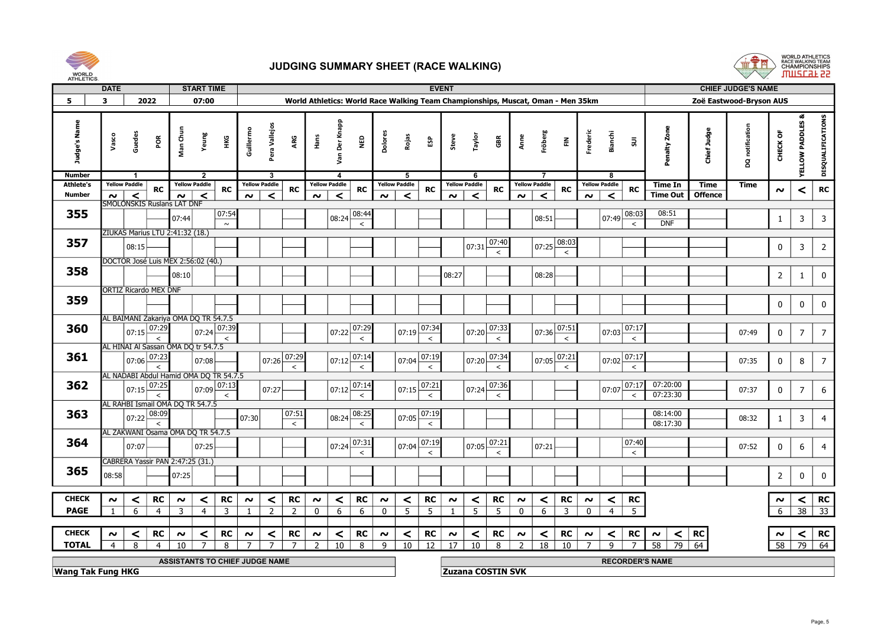



| <b>AIRLEINS</b>          |                |                      |                                                   |         |                      |              |           |                                |                              |                |                                                                                 |           |                      |             |                 |              |                         |                              |          |                      |                              |                |                                          |                 |                       |                |                           |                     |                             |                   |
|--------------------------|----------------|----------------------|---------------------------------------------------|---------|----------------------|--------------|-----------|--------------------------------|------------------------------|----------------|---------------------------------------------------------------------------------|-----------|----------------------|-------------|-----------------|--------------|-------------------------|------------------------------|----------|----------------------|------------------------------|----------------|------------------------------------------|-----------------|-----------------------|----------------|---------------------------|---------------------|-----------------------------|-------------------|
|                          | <b>DATE</b>    |                      |                                                   |         | <b>START TIME</b>    |              |           |                                |                              |                |                                                                                 |           |                      |             |                 | <b>EVENT</b> |                         |                              |          |                      |                              |                |                                          |                 |                       |                | <b>CHIEF JUDGE'S NAME</b> |                     |                             |                   |
| 5                        | $\mathbf{3}$   |                      | 2022                                              |         | 07:00                |              |           |                                |                              |                | World Athletics: World Race Walking Team Championships, Muscat, Oman - Men 35km |           |                      |             |                 |              |                         |                              |          |                      |                              |                |                                          |                 |                       |                | Zoë Eastwood-Bryson AUS   |                     |                             |                   |
| Ë<br>Judge's Na          | Vasco          | Guedes               | por                                               | Man Chu | Yeung                | НKG          | Guillermo | Pera Vallejos                  | ARG                          | Hans           | Der Knapp<br>S <sub>an</sub>                                                    | ۵g        | Dolores              | Rojas       | និ              | Steve        | Taylor                  | ã                            | Anne     | Fröberg              | $\tilde{\Xi}$                | Frederic       | <b>Bianchi</b><br>$\mathsf{S}\mathsf{U}$ | Penalty Zone    |                       | Chief Judge    | notification              | CHECK OF            | <b>YELLOW PADDLES &amp;</b> | DISQUALIFICATIONS |
|                          |                |                      |                                                   |         |                      |              |           |                                |                              |                |                                                                                 |           |                      |             |                 |              |                         |                              |          |                      |                              |                |                                          |                 |                       |                | g                         |                     |                             |                   |
| <b>Number</b>            |                | -1                   |                                                   |         | $\overline{2}$       |              |           | 3                              |                              |                | $\overline{4}$                                                                  |           |                      | 5.          |                 |              | 6                       |                              |          |                      |                              |                | -8                                       |                 |                       |                |                           |                     |                             |                   |
| Athlete's                |                | <b>Yellow Paddle</b> | <b>RC</b>                                         |         | <b>Yellow Paddle</b> | RC           |           | <b>Yellow Paddle</b>           | <b>RC</b>                    |                | <b>Yellow Paddle</b>                                                            | <b>RC</b> | <b>Yellow Paddle</b> |             | <b>RC</b>       |              | <b>Yellow Paddle</b>    | <b>RC</b>                    |          | <b>Yellow Paddle</b> | <b>RC</b>                    |                | <b>Yellow Paddle</b><br><b>RC</b>        | <b>Time In</b>  |                       | Time           | Time                      | $\boldsymbol{\sim}$ | $\prec$                     | <b>RC</b>         |
| <b>Number</b>            | $\sim$ $\mid$  | $\prec$              | <b>SMOLONSKIS Ruslans LAT DNF</b>                 | $\sim$  | $\prec$              |              | $\sim$    | $\prec$                        |                              | $\sim$         | $\prec$                                                                         |           | $\sim$               | $\prec$     |                 | $\sim$       | $\prec$                 |                              | $\sim$   | $\prec$              |                              | $\sim$         | $\prec$                                  | <b>Time Out</b> |                       | <b>Offence</b> |                           |                     |                             |                   |
| 355                      |                |                      |                                                   |         |                      | 07:54        |           |                                |                              |                |                                                                                 | 08:44     |                      |             |                 |              |                         |                              |          |                      |                              |                | 08:03                                    | 08:51           |                       |                |                           |                     |                             |                   |
|                          |                |                      |                                                   | 07:44   |                      |              |           |                                |                              |                | 08:24                                                                           | $\prec$   |                      |             |                 |              |                         |                              |          | 08:51                |                              |                | 07:49<br>$\,<$                           | <b>DNF</b>      |                       |                |                           | $\mathbf{1}$        | $\mathbf{3}$                | 3                 |
|                          |                |                      | <b>ZIUKAS Marius LTU 2:41:32 (18.)</b>            |         |                      |              |           |                                |                              |                |                                                                                 |           |                      |             |                 |              |                         |                              |          |                      |                              |                |                                          |                 |                       |                |                           |                     |                             |                   |
| 357                      |                | 08:15                |                                                   |         |                      |              |           |                                |                              |                |                                                                                 |           |                      |             |                 |              | 07:31                   | 07:40                        |          | 07:25                | 08:0                         |                |                                          |                 |                       |                |                           | $\pmb{0}$           | $\overline{\mathbf{3}}$     | $\overline{2}$    |
|                          |                |                      | DOCTOR José Luis MEX 2:56:02 (40.)                |         |                      |              |           |                                |                              |                |                                                                                 |           |                      |             |                 |              |                         | $\prec$                      |          |                      | $\prec$                      |                |                                          |                 |                       |                |                           |                     |                             |                   |
| 358                      |                |                      |                                                   |         |                      |              |           |                                |                              |                |                                                                                 |           |                      |             |                 |              |                         |                              |          |                      |                              |                |                                          |                 |                       |                |                           |                     |                             |                   |
|                          |                |                      |                                                   | 08:10   |                      |              |           |                                |                              |                |                                                                                 |           |                      |             |                 | 08:27        |                         |                              |          | 08:28                |                              |                |                                          |                 |                       |                |                           | $\overline{2}$      | $\mathbf{1}$                | $\mathbf 0$       |
|                          |                |                      | <b>ORTIZ Ricardo MEX DNF</b>                      |         |                      |              |           |                                |                              |                |                                                                                 |           |                      |             |                 |              |                         |                              |          |                      |                              |                |                                          |                 |                       |                |                           |                     |                             |                   |
| 359                      |                |                      |                                                   |         |                      |              |           |                                |                              |                |                                                                                 |           |                      |             |                 |              |                         |                              |          |                      |                              |                |                                          |                 |                       |                |                           | $\boldsymbol{0}$    | $\bf{0}$                    | 0                 |
|                          |                |                      | AL BAIMANI Zakariya OMA DQ TR 54.7.5              |         |                      |              |           |                                |                              |                |                                                                                 |           |                      |             |                 |              |                         |                              |          |                      |                              |                |                                          |                 |                       |                |                           |                     |                             |                   |
| 360                      |                |                      | $1_{07:15}$ 07:29                                 |         |                      | 07:39        |           |                                |                              |                |                                                                                 | 07:29     |                      |             | 07:34           |              |                         | 07:33                        |          |                      | 07:51                        |                | 07:17                                    |                 |                       |                |                           |                     |                             |                   |
|                          |                |                      | $\,<\,$                                           |         | 07:24                | $\prec$      |           |                                |                              |                | 07:22                                                                           | $\prec$   |                      | 07:19       | $\prec$         |              | 07:20                   | $\prec$                      |          | 07:36                | $\,<\,$                      |                | 07:03<br>$\,<$                           |                 |                       |                | 07:49                     | $\boldsymbol{0}$    | $\overline{7}$              | $\overline{7}$    |
|                          |                |                      | AL HINAI AI Sassan OMA DO tr 54.7.5               |         |                      |              |           |                                |                              |                |                                                                                 |           |                      |             |                 |              |                         |                              |          |                      |                              |                |                                          |                 |                       |                |                           |                     |                             |                   |
| 361                      |                |                      | $1_{07:06}$ $\overline{07:23}$                    |         | 07:08                |              |           |                                | $ 07:26 $ $\overline{07:29}$ |                | $1_{07:12}$ $\overline{07:14}$                                                  |           |                      | 07:04       | 07:19           |              |                         | $ 07:20 $ $\overline{07:34}$ |          |                      | $ 07:05 $ $\overline{07:21}$ |                | 07:17<br>07:02                           |                 |                       |                | 07:35                     | $\pmb{0}$           | $8\phantom{1}$              | $\overline{7}$    |
|                          |                |                      | $\prec$<br>AL NADABI Abdul Hamid OMA DQ TR 54.7.5 |         |                      |              |           |                                | $\prec$                      |                |                                                                                 | $\prec$   |                      |             | $\prec$         |              |                         | $\prec$                      |          |                      | $\prec$                      |                | $\,<\,$                                  |                 |                       |                |                           |                     |                             |                   |
| 362                      |                |                      | $1_{07:15}$ $\overline{07:25}$                    |         |                      | 07:13        |           |                                |                              |                | $ _{07:12} $ $\overline{07:14}$                                                 |           |                      |             | 07:21           |              |                         | 07:36                        |          |                      |                              |                | 07:17                                    | 07:20:00        |                       |                |                           |                     |                             |                   |
|                          |                |                      | $\,<$                                             |         | 07:09                | $\,<\,$      |           | 07:27                          |                              |                |                                                                                 | $\prec$   |                      | 07:15       | $\prec$         |              | 07:24                   | $\,<\,$                      |          |                      |                              |                | 07:0<br>$\prec$                          | 07:23:30        |                       |                | 07:37                     | $\pmb{0}$           | $\overline{7}$              | 6                 |
|                          |                |                      | AL RAHBI Ismail OMA DQ TR 54.7.5                  |         |                      |              |           |                                |                              |                |                                                                                 |           |                      |             |                 |              |                         |                              |          |                      |                              |                |                                          |                 |                       |                |                           |                     |                             |                   |
| 363                      |                |                      | $1_{07:22}$ 08:09                                 |         |                      |              | 07:30     |                                | 07:51                        |                | $1_{08:24}$ 08:25                                                               |           |                      | 07:05       | 07:19           |              |                         |                              |          |                      |                              |                |                                          | 08:14:00        |                       |                | 08:32                     | $\mathbf{1}$        | $\overline{\mathbf{3}}$     | 4                 |
|                          |                |                      | $\,<\,$<br>AL ZAKWANI Osama OMA DQ TR 54.7.5      |         |                      |              |           |                                | $\prec$                      |                |                                                                                 | $\,<\,$   |                      |             | $\prec$         |              |                         |                              |          |                      |                              |                |                                          | 08:17:30        |                       |                |                           |                     |                             |                   |
| 364                      |                |                      |                                                   |         |                      |              |           |                                |                              |                |                                                                                 | 07:31     |                      |             | 07:19           |              |                         | 07:21                        |          |                      |                              |                | 07:40                                    |                 |                       |                |                           |                     |                             |                   |
|                          |                | 07:07                |                                                   |         | 07:25                |              |           |                                |                              |                | 07:24                                                                           | $\prec$   |                      | 07:04       | $\prec$         |              | 07:05                   | $\prec$                      |          | 07:21                |                              |                | $\,<\,$                                  |                 |                       |                | 07:52                     | $\bf{0}$            | $6\overline{6}$             | $\overline{4}$    |
|                          |                |                      | CABRERA Yassir PAN 2:47:25 (31.)                  |         |                      |              |           |                                |                              |                |                                                                                 |           |                      |             |                 |              |                         |                              |          |                      |                              |                |                                          |                 |                       |                |                           |                     |                             |                   |
| 365                      | 08:58          |                      |                                                   | 07:25   |                      |              |           |                                |                              |                |                                                                                 |           |                      |             |                 |              |                         |                              |          |                      |                              |                |                                          |                 |                       |                |                           | $\overline{2}$      | $\bf{0}$                    | $\mathbf 0$       |
|                          |                |                      |                                                   |         |                      |              |           |                                |                              |                |                                                                                 |           |                      |             |                 |              |                         |                              |          |                      |                              |                |                                          |                 |                       |                |                           |                     |                             |                   |
| <b>CHECK</b>             | $\sim$         | $\prec$              | <b>RC</b>                                         | $\sim$  | $\prec$              | <b>RC</b>    | $\sim$    | $\prec$                        | RC                           | $\sim$         | $\prec$                                                                         | RC        | $\sim$               | $\prec$     | RC              | $\sim$       | $\prec$                 | <b>RC</b>                    | $\sim$   | $\prec$              | <b>RC</b>                    | $\sim$         | <b>RC</b><br>$\prec$                     |                 |                       |                |                           | $\sim$              | $\prec$                     | <b>RC</b>         |
| <b>PAGE</b>              |                | 6                    | $\overline{4}$                                    | 3       | $\overline{4}$       | $\mathbf{R}$ |           | $\overline{2}$                 | $\overline{2}$               | $\Omega$       | $6\overline{}$                                                                  | 6         | $\Omega$             | $5^{\circ}$ | $\overline{5}$  |              | $\overline{\mathbf{r}}$ | $\overline{5}$               | $\Omega$ | $6 \overline{6}$     | $\overline{3}$               | $\Omega$       | $\overline{5}$<br>$\overline{4}$         |                 |                       |                |                           | 6                   | $\overline{38}$             | $\overline{33}$   |
|                          |                |                      |                                                   |         |                      |              |           |                                |                              |                |                                                                                 |           |                      |             |                 |              |                         |                              |          |                      |                              |                |                                          |                 |                       |                |                           |                     |                             |                   |
| <b>CHECK</b>             | $\sim$         | $\prec$              | <b>RC</b>                                         | $\sim$  | $\prec$              | RC           | $\sim$    | $\prec$                        | RC                           | $\sim$         | $\prec$                                                                         | RC        | $\sim$               | $\prec$     | RC              | $\sim$       | $\prec$                 | <b>RC</b>                    | $\sim$   | $\,<$                | RC                           | $\sim$         | <b>RC</b><br>$\prec$                     | $\sim$          | <b>RC</b><br>$\prec$  |                |                           | $\sim$              | $\prec$                     | <b>RC</b>         |
| <b>TOTAL</b>             | $\overline{4}$ | 8                    | $\overline{4}$                                    | 10      | $\overline{ }$       | 8            |           |                                | $\overline{7}$               | $\overline{z}$ | 10                                                                              | 8         | 9                    | 10          | $\overline{12}$ | 17           | 10                      | 8                            | 2        | 18                   | 10                           | $\overline{7}$ | 9<br>$\overline{7}$                      | $\overline{58}$ | $\overline{79}$<br>64 |                |                           | $\overline{58}$     | 79                          | 64                |
|                          |                |                      |                                                   |         |                      |              |           |                                |                              |                |                                                                                 |           |                      |             |                 |              |                         |                              |          |                      |                              |                |                                          |                 |                       |                |                           |                     |                             |                   |
|                          |                |                      |                                                   |         |                      |              |           | ASSISTANTS TO CHIEF JUDGE NAME |                              |                |                                                                                 |           |                      |             |                 |              |                         |                              |          |                      |                              |                | <b>RECORDER'S NAME</b>                   |                 |                       |                |                           |                     |                             |                   |
| <b>Wang Tak Fung HKG</b> |                |                      |                                                   |         |                      |              |           |                                |                              |                |                                                                                 |           |                      |             |                 |              |                         | Zuzana COSTIN SVK            |          |                      |                              |                |                                          |                 |                       |                |                           |                     |                             |                   |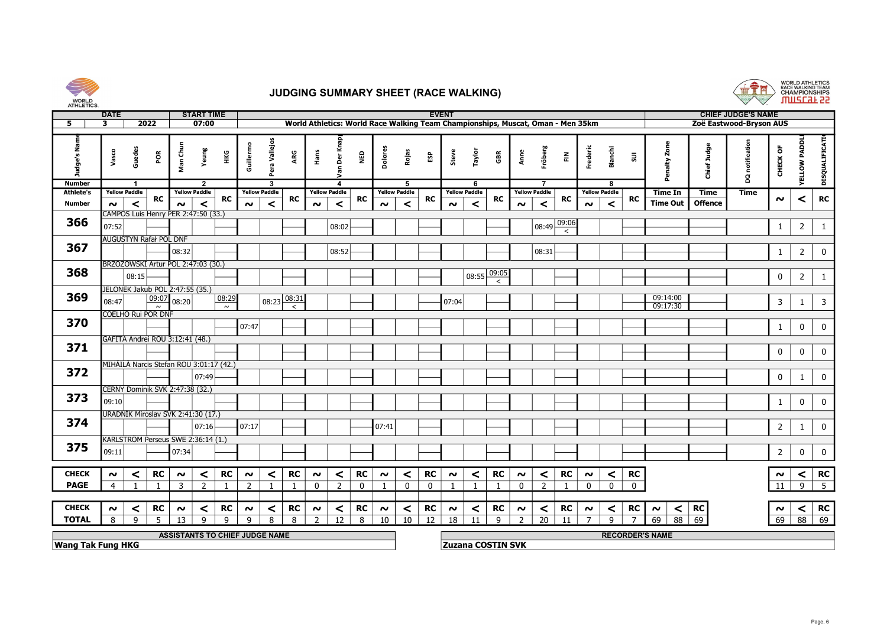



|                          | <b>DATE</b>          |                                                |                                       | <b>START TIME</b>                                |                 |                |                                                 |              |               |                        |              |        |                                        |              | <b>EVENT</b> |                            |                          |                |                      |                                                                                 |          |                      |                |                        |       |                | <b>CHIEF JUDGE'S NAME</b> |                |                    |                |
|--------------------------|----------------------|------------------------------------------------|---------------------------------------|--------------------------------------------------|-----------------|----------------|-------------------------------------------------|--------------|---------------|------------------------|--------------|--------|----------------------------------------|--------------|--------------|----------------------------|--------------------------|----------------|----------------------|---------------------------------------------------------------------------------|----------|----------------------|----------------|------------------------|-------|----------------|---------------------------|----------------|--------------------|----------------|
| 5.                       | 3                    | 2022                                           |                                       | 07:00                                            |                 |                |                                                 |              |               |                        |              |        |                                        |              |              |                            |                          |                |                      | World Athletics: World Race Walking Team Championships, Muscat, Oman - Men 35km |          |                      |                |                        |       |                | Zoë Eastwood-Bryson AUS   |                |                    |                |
| udge's Na<br>5           | Vasco                | <b>Guedes</b><br>por                           | Man Chu                               | Yeung                                            | ¥Э              | Guillermo      | Vallejo                                         | ARG          | Hans          | Der                    | NED          | Dolor  | Rojas                                  | ESP          | Steve        | <b>Pole</b> ]              | ĜК                       | Anne           | Fröberg              | $\tilde{\Xi}$                                                                   | Frederic | Bianchi              | $\Xi$          | ៱<br>슬                 |       | Chief Judge    | 흫<br>DQ notific           | CHECK OF       | <b>YELLOW PADD</b> | DISQUALIFICATI |
| <b>Number</b>            | <b>Yellow Paddle</b> | -1                                             |                                       | $\overline{\phantom{a}}$<br><b>Yellow Paddle</b> |                 |                | $\overline{\mathbf{3}}$<br><b>Yellow Paddle</b> |              |               | $\boldsymbol{\Lambda}$ |              |        | $\overline{5}$<br><b>Yellow Paddle</b> |              |              | -6<br><b>Yellow Paddle</b> |                          |                | <b>Yellow Paddle</b> |                                                                                 |          | -8                   |                |                        |       |                |                           |                |                    |                |
| Athlete's                |                      | RC                                             |                                       |                                                  | <b>RC</b>       |                |                                                 | <b>RC</b>    |               | <b>Yellow Paddle</b>   | RC           |        |                                        | RC           |              |                            | <b>RC</b>                |                |                      | RC                                                                              |          | <b>Yellow Paddle</b> | <b>RC</b>      | <b>Time In</b>         |       | <b>Time</b>    | <b>Time</b>               | $\sim$         | $\prec$            | <b>RC</b>      |
| <b>Number</b>            | $\sim$               | $\prec$<br>CAMPOS Luis Henry PER 2:47:50 (33.) | $\sim$                                | $\prec$                                          |                 | $\sim$         | $\prec$                                         |              | $\sim$        | $\prec$                |              | $\sim$ | $\prec$                                |              | $\sim$       | $\prec$                    |                          | $\sim$         | $\prec$              |                                                                                 | $\sim$   | $\prec$              |                | <b>Time Out</b>        |       | <b>Offence</b> |                           |                |                    |                |
| 366                      | 07:52                |                                                |                                       |                                                  |                 |                |                                                 |              |               | 08:02                  |              |        |                                        |              |              |                            |                          |                |                      | $1_{08:49}$ 09:06<br>$\prec$                                                    |          |                      |                |                        |       |                |                           | $\mathbf{1}$   | $\overline{2}$     |                |
|                          |                      | <b>AUGUSTYN Rafał POL DNF</b>                  |                                       |                                                  |                 |                |                                                 |              |               |                        |              |        |                                        |              |              |                            |                          |                |                      |                                                                                 |          |                      |                |                        |       |                |                           |                |                    |                |
| 367                      |                      |                                                | 08:32                                 |                                                  |                 |                |                                                 |              |               | 08:52                  |              |        |                                        |              |              |                            |                          |                | 08:31                |                                                                                 |          |                      |                |                        |       |                |                           | $\mathbf{1}$   | $\overline{2}$     | $\mathbf 0$    |
|                          |                      | BRZOZOWSKI Artur POL 2:47:03 (30.)             |                                       |                                                  |                 |                |                                                 |              |               |                        |              |        |                                        |              |              |                            |                          |                |                      |                                                                                 |          |                      |                |                        |       |                |                           |                |                    |                |
| 368                      |                      | 08:15                                          |                                       |                                                  |                 |                |                                                 |              |               |                        |              |        |                                        |              |              | 08:55                      | 09:05<br>$\overline{a}$  |                |                      |                                                                                 |          |                      |                |                        |       |                |                           | $\mathbf 0$    | $\overline{2}$     | -1             |
| 369                      |                      | JELONEK Jakub POL 2:47:55 (35.)                |                                       |                                                  |                 |                |                                                 |              |               |                        |              |        |                                        |              |              |                            |                          |                |                      |                                                                                 |          |                      |                | 09:14:00               |       |                |                           |                |                    |                |
|                          | 08:47                | $\sim$<br><b>COELHO Rui POR DNF</b>            | $\frac{1}{09:07}$ 08:20               |                                                  | 08:29<br>$\sim$ |                | $ 08:23 \overline{\smash{)}08:31}$              | $\prec$      |               |                        |              |        |                                        |              | 07:04        |                            |                          |                |                      |                                                                                 |          |                      |                | 09:17:30               |       |                |                           | $\overline{3}$ | 1                  | $\overline{3}$ |
| 370                      |                      |                                                |                                       |                                                  |                 | 07:47          |                                                 |              |               |                        |              |        |                                        |              |              |                            |                          |                |                      |                                                                                 |          |                      |                |                        |       |                |                           | $\mathbf{1}$   | $\mathbf{0}$       | $\mathbf 0$    |
|                          |                      | GAFITA Andrei ROU 3:12:41 (48.)                |                                       |                                                  |                 |                |                                                 |              |               |                        |              |        |                                        |              |              |                            |                          |                |                      |                                                                                 |          |                      |                |                        |       |                |                           |                |                    |                |
| 371                      |                      |                                                |                                       |                                                  |                 |                |                                                 |              |               |                        |              |        |                                        |              |              |                            |                          |                |                      |                                                                                 |          |                      |                |                        |       |                |                           | $\mathbf 0$    | $\bf{0}$           | $\Omega$       |
|                          |                      | MIHĂILĂ Narcis Stefan ROU 3:01:17 (42.)        |                                       |                                                  |                 |                |                                                 |              |               |                        |              |        |                                        |              |              |                            |                          |                |                      |                                                                                 |          |                      |                |                        |       |                |                           |                |                    |                |
| 372                      |                      |                                                |                                       | 07:49                                            |                 |                |                                                 |              |               |                        |              |        |                                        |              |              |                            |                          |                |                      |                                                                                 |          |                      |                |                        |       |                |                           | $\mathbf 0$    | $\mathbf{1}$       | 0              |
|                          |                      | CERNY Dominik SVK 2:47:38 (32.)                |                                       |                                                  |                 |                |                                                 |              |               |                        |              |        |                                        |              |              |                            |                          |                |                      |                                                                                 |          |                      |                |                        |       |                |                           |                |                    |                |
| 373                      | 09:10                |                                                |                                       |                                                  |                 |                |                                                 |              |               |                        |              |        |                                        |              |              |                            |                          |                |                      |                                                                                 |          |                      |                |                        |       |                |                           | $\mathbf{1}$   | $\pmb{0}$          | $\mathbf 0$    |
|                          |                      | URADNIK Miroslav SVK 2:41:30 (17.)             |                                       |                                                  |                 |                |                                                 |              |               |                        |              |        |                                        |              |              |                            |                          |                |                      |                                                                                 |          |                      |                |                        |       |                |                           |                |                    |                |
| 374                      |                      |                                                |                                       | 07:16                                            |                 | 07:17          |                                                 |              |               |                        |              | 07:41  |                                        |              |              |                            |                          |                |                      |                                                                                 |          |                      |                |                        |       |                |                           | $\overline{2}$ | $\mathbf{1}$       | $\mathbf 0$    |
|                          |                      | KARLSTRÖM Perseus SWE 2:36:14 (1.)             |                                       |                                                  |                 |                |                                                 |              |               |                        |              |        |                                        |              |              |                            |                          |                |                      |                                                                                 |          |                      |                |                        |       |                |                           |                |                    |                |
| 375                      | 09:11                |                                                | 07:34                                 |                                                  |                 |                |                                                 |              |               |                        |              |        |                                        |              |              |                            |                          |                |                      |                                                                                 |          |                      |                |                        |       |                |                           | $\overline{2}$ | $\mathbf 0$        | $\mathbf 0$    |
| <b>CHECK</b>             | $\sim$               | <b>RC</b><br>$\prec$                           | $\sim$                                | $\prec$                                          | <b>RC</b>       | $\sim$         | $\prec$                                         | <b>RC</b>    | $\sim$        | $\prec$                | <b>RC</b>    | $\sim$ | ≺                                      | <b>RC</b>    | $\sim$       | $\prec$                    | <b>RC</b>                | $\sim$         | ≺                    | <b>RC</b>                                                                       | $\sim$   | $\prec$              | <b>RC</b>      |                        |       |                |                           | $\sim$         | $\prec$            | <b>RC</b>      |
| <b>PAGE</b>              | $\overline{4}$       | $\mathbf{1}$                                   | $\overline{3}$                        | 2                                                |                 | $\overline{2}$ | $\mathbf{1}$                                    |              | $\Omega$      | 2                      | $\mathbf{0}$ | -1     | $\mathbf{0}$                           | $\mathbf{0}$ |              |                            |                          | $\mathbf{0}$   | $\overline{2}$       | $\overline{1}$                                                                  | $\Omega$ | $\mathbf{0}$         | $\mathbf 0$    |                        |       |                |                           | 11             | 9                  | $-5$           |
| <b>CHECK</b>             | $\sim$               | RC<br>$\prec$                                  | $\sim$                                | $\prec$                                          | <b>RC</b>       | $\sim$         | $\prec$                                         | <b>RC</b>    | $\sim$        | $\prec$                | <b>RC</b>    | $\sim$ | $\prec$                                | <b>RC</b>    | $\sim$       | $\prec$                    | <b>RC</b>                | $\sim$         | $\prec$              | <b>RC</b>                                                                       | $\sim$   | $\prec$              | <b>RC</b>      | $\sim$                 | $\,<$ | RC             |                           | $\sim$         |                    | $\lt$ RC       |
| <b>TOTAL</b>             | $\mathbf{R}$         | $\mathsf{Q}$<br>$5^{\circ}$                    | 13                                    | $\Omega$                                         | $\mathsf{Q}$    | $\Omega$       | $\mathsf{R}$                                    | $\mathbf{R}$ | $\mathcal{D}$ | 12                     | 8            | 10     | 10 <sup>°</sup>                        | 12           | 18           | 11                         | $\mathsf{Q}$             | $\overline{z}$ | 20                   | 11                                                                              | 7        | $\mathsf{o}$         | $\overline{7}$ | 69                     | 88    | $\sqrt{69}$    |                           | 69             |                    | 88 69          |
|                          |                      |                                                | <b>ASSISTANTS TO CHIEF JUDGE NAME</b> |                                                  |                 |                |                                                 |              |               |                        |              |        |                                        |              |              |                            |                          |                |                      |                                                                                 |          |                      |                | <b>RECORDER'S NAME</b> |       |                |                           |                |                    |                |
| <b>Wang Tak Fung HKG</b> |                      |                                                |                                       |                                                  |                 |                |                                                 |              |               |                        |              |        |                                        |              |              |                            | <b>Zuzana COSTIN SVK</b> |                |                      |                                                                                 |          |                      |                |                        |       |                |                           |                |                    |                |